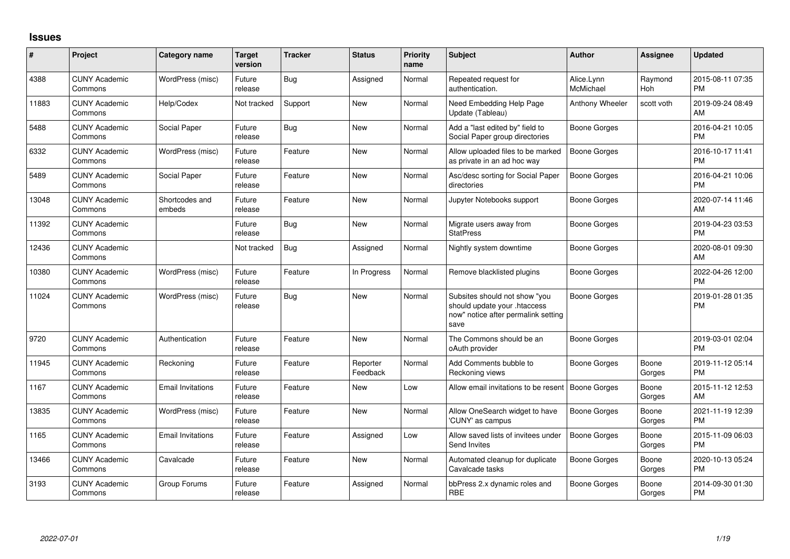## **Issues**

| #     | Project                         | <b>Category name</b>     | <b>Target</b><br>version | <b>Tracker</b> | <b>Status</b>        | <b>Priority</b><br>name | <b>Subject</b>                                                                                               | <b>Author</b>           | <b>Assignee</b> | <b>Updated</b>                |
|-------|---------------------------------|--------------------------|--------------------------|----------------|----------------------|-------------------------|--------------------------------------------------------------------------------------------------------------|-------------------------|-----------------|-------------------------------|
| 4388  | <b>CUNY Academic</b><br>Commons | WordPress (misc)         | Future<br>release        | Bug            | Assigned             | Normal                  | Repeated request for<br>authentication.                                                                      | Alice.Lynn<br>McMichael | Raymond<br>Hoh  | 2015-08-11 07:35<br><b>PM</b> |
| 11883 | <b>CUNY Academic</b><br>Commons | Help/Codex               | Not tracked              | Support        | <b>New</b>           | Normal                  | Need Embedding Help Page<br>Update (Tableau)                                                                 | Anthony Wheeler         | scott voth      | 2019-09-24 08:49<br>AM        |
| 5488  | <b>CUNY Academic</b><br>Commons | Social Paper             | Future<br>release        | Bug            | <b>New</b>           | Normal                  | Add a "last edited by" field to<br>Social Paper group directories                                            | Boone Gorges            |                 | 2016-04-21 10:05<br><b>PM</b> |
| 6332  | <b>CUNY Academic</b><br>Commons | WordPress (misc)         | Future<br>release        | Feature        | New                  | Normal                  | Allow uploaded files to be marked<br>as private in an ad hoc way                                             | <b>Boone Gorges</b>     |                 | 2016-10-17 11:41<br><b>PM</b> |
| 5489  | <b>CUNY Academic</b><br>Commons | Social Paper             | Future<br>release        | Feature        | <b>New</b>           | Normal                  | Asc/desc sorting for Social Paper<br>directories                                                             | <b>Boone Gorges</b>     |                 | 2016-04-21 10:06<br><b>PM</b> |
| 13048 | <b>CUNY Academic</b><br>Commons | Shortcodes and<br>embeds | Future<br>release        | Feature        | <b>New</b>           | Normal                  | Jupyter Notebooks support                                                                                    | <b>Boone Gorges</b>     |                 | 2020-07-14 11:46<br>AM        |
| 11392 | <b>CUNY Academic</b><br>Commons |                          | Future<br>release        | Bug            | <b>New</b>           | Normal                  | Migrate users away from<br><b>StatPress</b>                                                                  | Boone Gorges            |                 | 2019-04-23 03:53<br><b>PM</b> |
| 12436 | <b>CUNY Academic</b><br>Commons |                          | Not tracked              | Bug            | Assigned             | Normal                  | Nightly system downtime                                                                                      | Boone Gorges            |                 | 2020-08-01 09:30<br>AM        |
| 10380 | <b>CUNY Academic</b><br>Commons | WordPress (misc)         | Future<br>release        | Feature        | In Progress          | Normal                  | Remove blacklisted plugins                                                                                   | <b>Boone Gorges</b>     |                 | 2022-04-26 12:00<br><b>PM</b> |
| 11024 | <b>CUNY Academic</b><br>Commons | WordPress (misc)         | Future<br>release        | <b>Bug</b>     | New                  | Normal                  | Subsites should not show "you<br>should update your .htaccess<br>now" notice after permalink setting<br>save | Boone Gorges            |                 | 2019-01-28 01:35<br><b>PM</b> |
| 9720  | <b>CUNY Academic</b><br>Commons | Authentication           | Future<br>release        | Feature        | <b>New</b>           | Normal                  | The Commons should be an<br>oAuth provider                                                                   | Boone Gorges            |                 | 2019-03-01 02:04<br><b>PM</b> |
| 11945 | <b>CUNY Academic</b><br>Commons | Reckoning                | Future<br>release        | Feature        | Reporter<br>Feedback | Normal                  | Add Comments bubble to<br>Reckoning views                                                                    | Boone Gorges            | Boone<br>Gorges | 2019-11-12 05:14<br><b>PM</b> |
| 1167  | <b>CUNY Academic</b><br>Commons | <b>Email Invitations</b> | Future<br>release        | Feature        | New                  | Low                     | Allow email invitations to be resent                                                                         | <b>Boone Gorges</b>     | Boone<br>Gorges | 2015-11-12 12:53<br>AM        |
| 13835 | <b>CUNY Academic</b><br>Commons | WordPress (misc)         | Future<br>release        | Feature        | New                  | Normal                  | Allow OneSearch widget to have<br>'CUNY' as campus                                                           | Boone Gorges            | Boone<br>Gorges | 2021-11-19 12:39<br><b>PM</b> |
| 1165  | <b>CUNY Academic</b><br>Commons | <b>Email Invitations</b> | Future<br>release        | Feature        | Assigned             | Low                     | Allow saved lists of invitees under<br>Send Invites                                                          | <b>Boone Gorges</b>     | Boone<br>Gorges | 2015-11-09 06:03<br><b>PM</b> |
| 13466 | <b>CUNY Academic</b><br>Commons | Cavalcade                | Future<br>release        | Feature        | New                  | Normal                  | Automated cleanup for duplicate<br>Cavalcade tasks                                                           | Boone Gorges            | Boone<br>Gorges | 2020-10-13 05:24<br><b>PM</b> |
| 3193  | <b>CUNY Academic</b><br>Commons | Group Forums             | Future<br>release        | Feature        | Assigned             | Normal                  | bbPress 2.x dynamic roles and<br><b>RBE</b>                                                                  | Boone Gorges            | Boone<br>Gorges | 2014-09-30 01:30<br>PM        |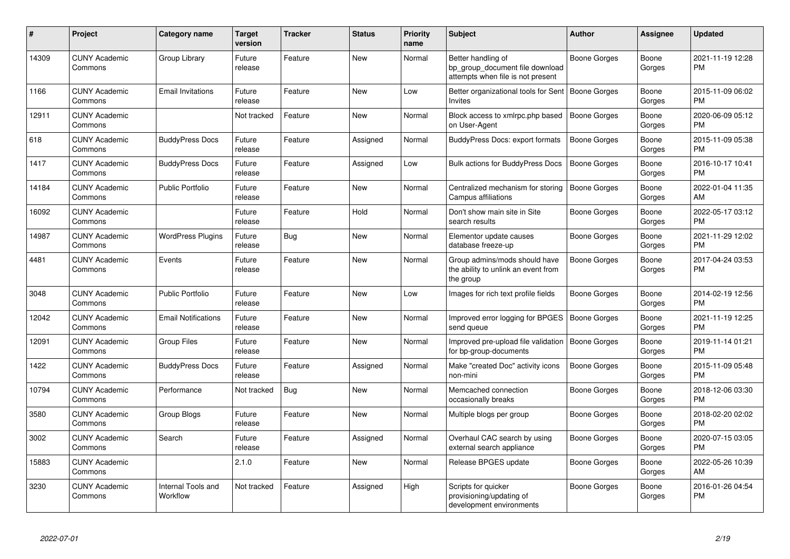| #     | Project                         | <b>Category name</b>           | <b>Target</b><br>version | <b>Tracker</b> | <b>Status</b> | <b>Priority</b><br>name | <b>Subject</b>                                                                             | <b>Author</b>       | Assignee        | <b>Updated</b>                |
|-------|---------------------------------|--------------------------------|--------------------------|----------------|---------------|-------------------------|--------------------------------------------------------------------------------------------|---------------------|-----------------|-------------------------------|
| 14309 | <b>CUNY Academic</b><br>Commons | Group Library                  | Future<br>release        | Feature        | <b>New</b>    | Normal                  | Better handling of<br>bp group document file download<br>attempts when file is not present | Boone Gorges        | Boone<br>Gorges | 2021-11-19 12:28<br><b>PM</b> |
| 1166  | <b>CUNY Academic</b><br>Commons | <b>Email Invitations</b>       | Future<br>release        | Feature        | New           | Low                     | Better organizational tools for Sent<br><b>Invites</b>                                     | Boone Gorges        | Boone<br>Gorges | 2015-11-09 06:02<br><b>PM</b> |
| 12911 | <b>CUNY Academic</b><br>Commons |                                | Not tracked              | Feature        | New           | Normal                  | Block access to xmlrpc.php based<br>on User-Agent                                          | <b>Boone Gorges</b> | Boone<br>Gorges | 2020-06-09 05:12<br><b>PM</b> |
| 618   | <b>CUNY Academic</b><br>Commons | <b>BuddyPress Docs</b>         | Future<br>release        | Feature        | Assigned      | Normal                  | <b>BuddyPress Docs: export formats</b>                                                     | <b>Boone Gorges</b> | Boone<br>Gorges | 2015-11-09 05:38<br><b>PM</b> |
| 1417  | <b>CUNY Academic</b><br>Commons | <b>BuddyPress Docs</b>         | Future<br>release        | Feature        | Assigned      | Low                     | <b>Bulk actions for BuddyPress Docs</b>                                                    | <b>Boone Gorges</b> | Boone<br>Gorges | 2016-10-17 10:41<br><b>PM</b> |
| 14184 | <b>CUNY Academic</b><br>Commons | <b>Public Portfolio</b>        | Future<br>release        | Feature        | <b>New</b>    | Normal                  | Centralized mechanism for storing<br>Campus affiliations                                   | <b>Boone Gorges</b> | Boone<br>Gorges | 2022-01-04 11:35<br>AM        |
| 16092 | <b>CUNY Academic</b><br>Commons |                                | Future<br>release        | Feature        | Hold          | Normal                  | Don't show main site in Site<br>search results                                             | Boone Gorges        | Boone<br>Gorges | 2022-05-17 03:12<br><b>PM</b> |
| 14987 | <b>CUNY Academic</b><br>Commons | <b>WordPress Plugins</b>       | Future<br>release        | Bug            | <b>New</b>    | Normal                  | Elementor update causes<br>database freeze-up                                              | Boone Gorges        | Boone<br>Gorges | 2021-11-29 12:02<br><b>PM</b> |
| 4481  | <b>CUNY Academic</b><br>Commons | Events                         | Future<br>release        | Feature        | New           | Normal                  | Group admins/mods should have<br>the ability to unlink an event from<br>the group          | Boone Gorges        | Boone<br>Gorges | 2017-04-24 03:53<br><b>PM</b> |
| 3048  | <b>CUNY Academic</b><br>Commons | <b>Public Portfolio</b>        | Future<br>release        | Feature        | <b>New</b>    | Low                     | Images for rich text profile fields                                                        | Boone Gorges        | Boone<br>Gorges | 2014-02-19 12:56<br><b>PM</b> |
| 12042 | <b>CUNY Academic</b><br>Commons | <b>Email Notifications</b>     | Future<br>release        | Feature        | <b>New</b>    | Normal                  | Improved error logging for BPGES<br>send queue                                             | Boone Gorges        | Boone<br>Gorges | 2021-11-19 12:25<br><b>PM</b> |
| 12091 | <b>CUNY Academic</b><br>Commons | <b>Group Files</b>             | Future<br>release        | Feature        | <b>New</b>    | Normal                  | Improved pre-upload file validation<br>for bp-group-documents                              | <b>Boone Gorges</b> | Boone<br>Gorges | 2019-11-14 01:21<br><b>PM</b> |
| 1422  | <b>CUNY Academic</b><br>Commons | <b>BuddyPress Docs</b>         | Future<br>release        | Feature        | Assigned      | Normal                  | Make "created Doc" activity icons<br>non-mini                                              | Boone Gorges        | Boone<br>Gorges | 2015-11-09 05:48<br><b>PM</b> |
| 10794 | <b>CUNY Academic</b><br>Commons | Performance                    | Not tracked              | Bug            | New           | Normal                  | Memcached connection<br>occasionally breaks                                                | Boone Gorges        | Boone<br>Gorges | 2018-12-06 03:30<br><b>PM</b> |
| 3580  | <b>CUNY Academic</b><br>Commons | Group Blogs                    | Future<br>release        | Feature        | <b>New</b>    | Normal                  | Multiple blogs per group                                                                   | Boone Gorges        | Boone<br>Gorges | 2018-02-20 02:02<br><b>PM</b> |
| 3002  | <b>CUNY Academic</b><br>Commons | Search                         | Future<br>release        | Feature        | Assigned      | Normal                  | Overhaul CAC search by using<br>external search appliance                                  | Boone Gorges        | Boone<br>Gorges | 2020-07-15 03:05<br><b>PM</b> |
| 15883 | <b>CUNY Academic</b><br>Commons |                                | 2.1.0                    | Feature        | <b>New</b>    | Normal                  | Release BPGES update                                                                       | Boone Gorges        | Boone<br>Gorges | 2022-05-26 10:39<br>AM        |
| 3230  | <b>CUNY Academic</b><br>Commons | Internal Tools and<br>Workflow | Not tracked              | Feature        | Assigned      | High                    | Scripts for quicker<br>provisioning/updating of<br>development environments                | Boone Gorges        | Boone<br>Gorges | 2016-01-26 04:54<br><b>PM</b> |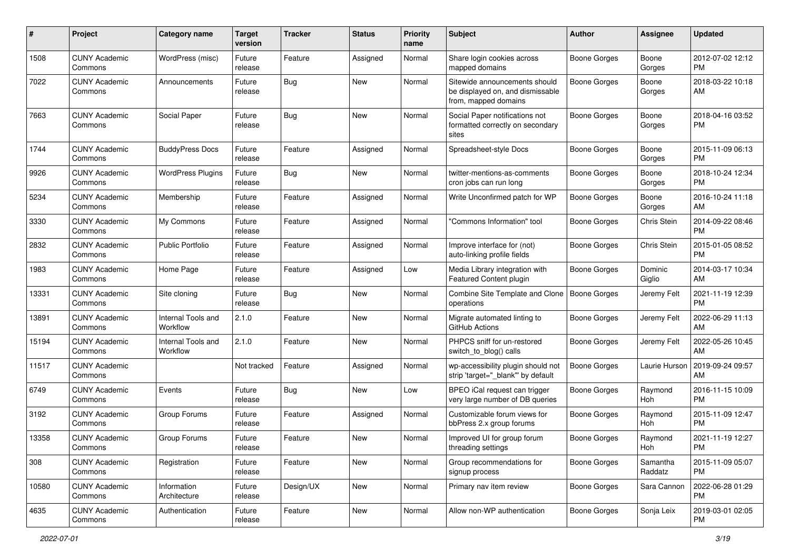| #     | Project                         | <b>Category name</b>           | <b>Target</b><br>version | <b>Tracker</b> | <b>Status</b> | <b>Priority</b><br>name | Subject                                                                                   | Author              | <b>Assignee</b>     | <b>Updated</b>                |
|-------|---------------------------------|--------------------------------|--------------------------|----------------|---------------|-------------------------|-------------------------------------------------------------------------------------------|---------------------|---------------------|-------------------------------|
| 1508  | <b>CUNY Academic</b><br>Commons | WordPress (misc)               | Future<br>release        | Feature        | Assigned      | Normal                  | Share login cookies across<br>mapped domains                                              | <b>Boone Gorges</b> | Boone<br>Gorges     | 2012-07-02 12:12<br><b>PM</b> |
| 7022  | <b>CUNY Academic</b><br>Commons | Announcements                  | Future<br>release        | Bug            | New           | Normal                  | Sitewide announcements should<br>be displayed on, and dismissable<br>from, mapped domains | <b>Boone Gorges</b> | Boone<br>Gorges     | 2018-03-22 10:18<br>AM        |
| 7663  | <b>CUNY Academic</b><br>Commons | Social Paper                   | Future<br>release        | <b>Bug</b>     | New           | Normal                  | Social Paper notifications not<br>formatted correctly on secondary<br>sites               | <b>Boone Gorges</b> | Boone<br>Gorges     | 2018-04-16 03:52<br><b>PM</b> |
| 1744  | <b>CUNY Academic</b><br>Commons | <b>BuddyPress Docs</b>         | Future<br>release        | Feature        | Assigned      | Normal                  | Spreadsheet-style Docs                                                                    | Boone Gorges        | Boone<br>Gorges     | 2015-11-09 06:13<br><b>PM</b> |
| 9926  | <b>CUNY Academic</b><br>Commons | <b>WordPress Plugins</b>       | Future<br>release        | Bug            | New           | Normal                  | twitter-mentions-as-comments<br>cron jobs can run long                                    | Boone Gorges        | Boone<br>Gorges     | 2018-10-24 12:34<br><b>PM</b> |
| 5234  | <b>CUNY Academic</b><br>Commons | Membership                     | Future<br>release        | Feature        | Assigned      | Normal                  | Write Unconfirmed patch for WP                                                            | Boone Gorges        | Boone<br>Gorges     | 2016-10-24 11:18<br>AM        |
| 3330  | <b>CUNY Academic</b><br>Commons | My Commons                     | Future<br>release        | Feature        | Assigned      | Normal                  | "Commons Information" tool                                                                | <b>Boone Gorges</b> | Chris Stein         | 2014-09-22 08:46<br><b>PM</b> |
| 2832  | <b>CUNY Academic</b><br>Commons | <b>Public Portfolio</b>        | Future<br>release        | Feature        | Assigned      | Normal                  | Improve interface for (not)<br>auto-linking profile fields                                | Boone Gorges        | Chris Stein         | 2015-01-05 08:52<br><b>PM</b> |
| 1983  | <b>CUNY Academic</b><br>Commons | Home Page                      | Future<br>release        | Feature        | Assigned      | Low                     | Media Library integration with<br>Featured Content plugin                                 | Boone Gorges        | Dominic<br>Giglio   | 2014-03-17 10:34<br>AM        |
| 13331 | <b>CUNY Academic</b><br>Commons | Site cloning                   | Future<br>release        | Bug            | <b>New</b>    | Normal                  | Combine Site Template and Clone<br>operations                                             | Boone Gorges        | Jeremy Felt         | 2021-11-19 12:39<br><b>PM</b> |
| 13891 | <b>CUNY Academic</b><br>Commons | Internal Tools and<br>Workflow | 2.1.0                    | Feature        | New           | Normal                  | Migrate automated linting to<br>GitHub Actions                                            | Boone Gorges        | Jeremy Felt         | 2022-06-29 11:13<br>AM        |
| 15194 | <b>CUNY Academic</b><br>Commons | Internal Tools and<br>Workflow | 2.1.0                    | Feature        | <b>New</b>    | Normal                  | PHPCS sniff for un-restored<br>switch_to_blog() calls                                     | Boone Gorges        | Jeremy Felt         | 2022-05-26 10:45<br>AM        |
| 11517 | <b>CUNY Academic</b><br>Commons |                                | Not tracked              | Feature        | Assigned      | Normal                  | wp-accessibility plugin should not<br>strip 'target="_blank" by default                   | Boone Gorges        | Laurie Hurson       | 2019-09-24 09:57<br>AM        |
| 6749  | <b>CUNY Academic</b><br>Commons | Events                         | Future<br>release        | Bug            | <b>New</b>    | Low                     | BPEO iCal request can trigger<br>very large number of DB queries                          | Boone Gorges        | Raymond<br>Hoh      | 2016-11-15 10:09<br><b>PM</b> |
| 3192  | <b>CUNY Academic</b><br>Commons | Group Forums                   | Future<br>release        | Feature        | Assigned      | Normal                  | Customizable forum views for<br>bbPress 2.x group forums                                  | Boone Gorges        | Raymond<br>Hoh      | 2015-11-09 12:47<br><b>PM</b> |
| 13358 | <b>CUNY Academic</b><br>Commons | Group Forums                   | Future<br>release        | Feature        | New           | Normal                  | Improved UI for group forum<br>threading settings                                         | <b>Boone Gorges</b> | Raymond<br>Hoh      | 2021-11-19 12:27<br>PM        |
| 308   | <b>CUNY Academic</b><br>Commons | Registration                   | Future<br>release        | Feature        | New           | Normal                  | Group recommendations for<br>signup process                                               | <b>Boone Gorges</b> | Samantha<br>Raddatz | 2015-11-09 05:07<br><b>PM</b> |
| 10580 | <b>CUNY Academic</b><br>Commons | Information<br>Architecture    | Future<br>release        | Design/UX      | New           | Normal                  | Primary nav item review                                                                   | Boone Gorges        | Sara Cannon         | 2022-06-28 01:29<br><b>PM</b> |
| 4635  | <b>CUNY Academic</b><br>Commons | Authentication                 | Future<br>release        | Feature        | New           | Normal                  | Allow non-WP authentication                                                               | Boone Gorges        | Sonja Leix          | 2019-03-01 02:05<br><b>PM</b> |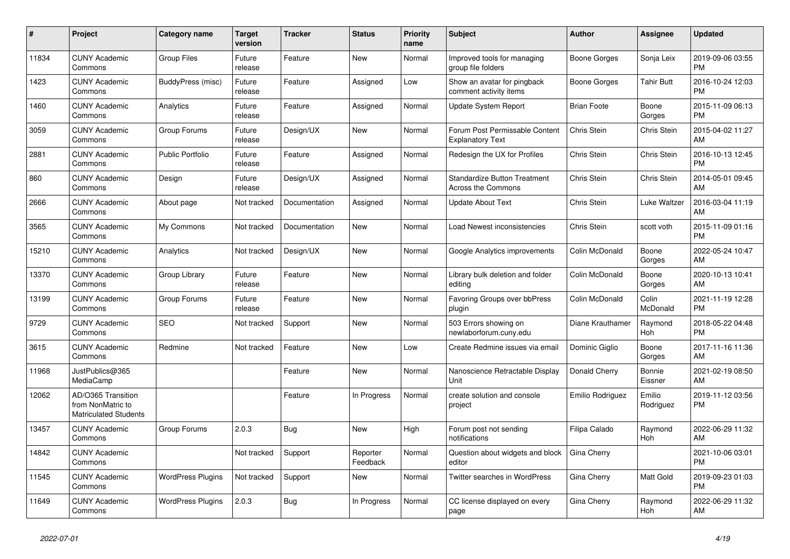| #     | <b>Project</b>                                                          | Category name            | <b>Target</b><br>version | <b>Tracker</b> | <b>Status</b>        | Priority<br>name | <b>Subject</b>                                                   | <b>Author</b>      | Assignee            | <b>Updated</b>                |
|-------|-------------------------------------------------------------------------|--------------------------|--------------------------|----------------|----------------------|------------------|------------------------------------------------------------------|--------------------|---------------------|-------------------------------|
| 11834 | <b>CUNY Academic</b><br>Commons                                         | <b>Group Files</b>       | Future<br>release        | Feature        | <b>New</b>           | Normal           | Improved tools for managing<br>group file folders                | Boone Gorges       | Sonja Leix          | 2019-09-06 03:55<br><b>PM</b> |
| 1423  | <b>CUNY Academic</b><br>Commons                                         | BuddyPress (misc)        | Future<br>release        | Feature        | Assigned             | Low              | Show an avatar for pingback<br>comment activity items            | Boone Gorges       | <b>Tahir Butt</b>   | 2016-10-24 12:03<br><b>PM</b> |
| 1460  | <b>CUNY Academic</b><br>Commons                                         | Analytics                | Future<br>release        | Feature        | Assigned             | Normal           | <b>Update System Report</b>                                      | <b>Brian Foote</b> | Boone<br>Gorges     | 2015-11-09 06:13<br><b>PM</b> |
| 3059  | <b>CUNY Academic</b><br>Commons                                         | Group Forums             | Future<br>release        | Design/UX      | <b>New</b>           | Normal           | Forum Post Permissable Content<br><b>Explanatory Text</b>        | Chris Stein        | Chris Stein         | 2015-04-02 11:27<br>AM        |
| 2881  | <b>CUNY Academic</b><br>Commons                                         | <b>Public Portfolio</b>  | Future<br>release        | Feature        | Assigned             | Normal           | Redesign the UX for Profiles                                     | Chris Stein        | Chris Stein         | 2016-10-13 12:45<br><b>PM</b> |
| 860   | <b>CUNY Academic</b><br>Commons                                         | Design                   | Future<br>release        | Design/UX      | Assigned             | Normal           | <b>Standardize Button Treatment</b><br><b>Across the Commons</b> | Chris Stein        | Chris Stein         | 2014-05-01 09:45<br>AM        |
| 2666  | <b>CUNY Academic</b><br>Commons                                         | About page               | Not tracked              | Documentation  | Assigned             | Normal           | <b>Update About Text</b>                                         | Chris Stein        | Luke Waltzer        | 2016-03-04 11:19<br>AM        |
| 3565  | <b>CUNY Academic</b><br>Commons                                         | My Commons               | Not tracked              | Documentation  | <b>New</b>           | Normal           | Load Newest inconsistencies                                      | Chris Stein        | scott voth          | 2015-11-09 01:16<br><b>PM</b> |
| 15210 | <b>CUNY Academic</b><br>Commons                                         | Analytics                | Not tracked              | Design/UX      | New                  | Normal           | Google Analytics improvements                                    | Colin McDonald     | Boone<br>Gorges     | 2022-05-24 10:47<br>AM        |
| 13370 | <b>CUNY Academic</b><br>Commons                                         | Group Library            | Future<br>release        | Feature        | New                  | Normal           | Library bulk deletion and folder<br>editina                      | Colin McDonald     | Boone<br>Gorges     | 2020-10-13 10:41<br>AM        |
| 13199 | <b>CUNY Academic</b><br>Commons                                         | Group Forums             | Future<br>release        | Feature        | <b>New</b>           | Normal           | Favoring Groups over bbPress<br>plugin                           | Colin McDonald     | Colin<br>McDonald   | 2021-11-19 12:28<br><b>PM</b> |
| 9729  | <b>CUNY Academic</b><br>Commons                                         | <b>SEO</b>               | Not tracked              | Support        | New                  | Normal           | 503 Errors showing on<br>newlaborforum.cuny.edu                  | Diane Krauthamer   | Raymond<br>Hoh      | 2018-05-22 04:48<br><b>PM</b> |
| 3615  | <b>CUNY Academic</b><br>Commons                                         | Redmine                  | Not tracked              | Feature        | New                  | Low              | Create Redmine issues via email                                  | Dominic Giglio     | Boone<br>Gorges     | 2017-11-16 11:36<br>AM        |
| 11968 | JustPublics@365<br>MediaCamp                                            |                          |                          | Feature        | <b>New</b>           | Normal           | Nanoscience Retractable Display<br>Unit                          | Donald Cherry      | Bonnie<br>Eissner   | 2021-02-19 08:50<br>AM        |
| 12062 | AD/O365 Transition<br>from NonMatric to<br><b>Matriculated Students</b> |                          |                          | Feature        | In Progress          | Normal           | create solution and console<br>project                           | Emilio Rodriguez   | Emilio<br>Rodriguez | 2019-11-12 03:56<br><b>PM</b> |
| 13457 | <b>CUNY Academic</b><br>Commons                                         | Group Forums             | 2.0.3                    | <b>Bug</b>     | <b>New</b>           | High             | Forum post not sending<br>notifications                          | Filipa Calado      | Raymond<br>Hoh      | 2022-06-29 11:32<br>AM        |
| 14842 | <b>CUNY Academic</b><br>Commons                                         |                          | Not tracked              | Support        | Reporter<br>Feedback | Normal           | Question about widgets and block<br>editor                       | Gina Cherry        |                     | 2021-10-06 03:01<br><b>PM</b> |
| 11545 | <b>CUNY Academic</b><br>Commons                                         | <b>WordPress Plugins</b> | Not tracked              | Support        | New                  | Normal           | Twitter searches in WordPress                                    | Gina Cherry        | Matt Gold           | 2019-09-23 01:03<br><b>PM</b> |
| 11649 | <b>CUNY Academic</b><br>Commons                                         | <b>WordPress Plugins</b> | 2.0.3                    | Bug            | In Progress          | Normal           | CC license displayed on every<br>page                            | Gina Cherry        | Raymond<br>Hoh      | 2022-06-29 11:32<br>AM        |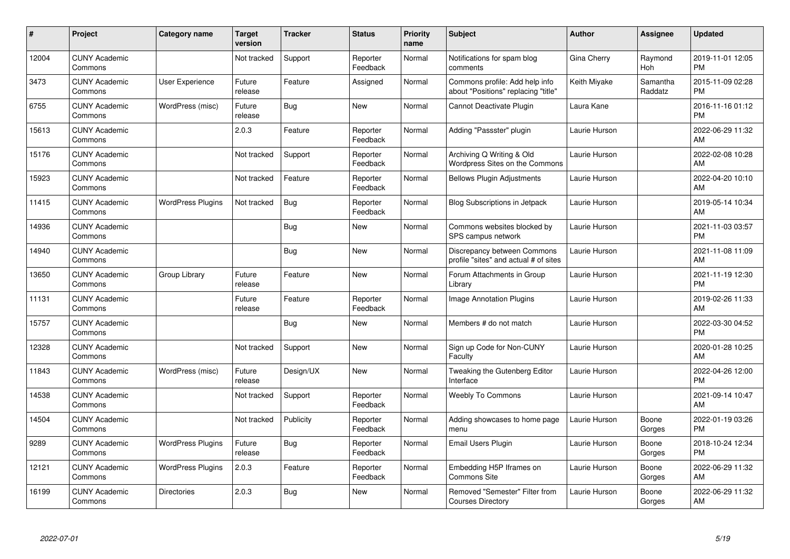| #     | <b>Project</b>                  | <b>Category name</b>     | <b>Target</b><br>version | <b>Tracker</b> | <b>Status</b>        | <b>Priority</b><br>name | Subject                                                               | <b>Author</b> | Assignee            | <b>Updated</b>                |
|-------|---------------------------------|--------------------------|--------------------------|----------------|----------------------|-------------------------|-----------------------------------------------------------------------|---------------|---------------------|-------------------------------|
| 12004 | <b>CUNY Academic</b><br>Commons |                          | Not tracked              | Support        | Reporter<br>Feedback | Normal                  | Notifications for spam blog<br>comments                               | Gina Cherry   | Raymond<br>Hoh      | 2019-11-01 12:05<br><b>PM</b> |
| 3473  | <b>CUNY Academic</b><br>Commons | User Experience          | Future<br>release        | Feature        | Assigned             | Normal                  | Commons profile: Add help info<br>about "Positions" replacing "title" | Keith Miyake  | Samantha<br>Raddatz | 2015-11-09 02:28<br><b>PM</b> |
| 6755  | <b>CUNY Academic</b><br>Commons | WordPress (misc)         | Future<br>release        | Bug            | New                  | Normal                  | Cannot Deactivate Plugin                                              | Laura Kane    |                     | 2016-11-16 01:12<br><b>PM</b> |
| 15613 | <b>CUNY Academic</b><br>Commons |                          | 2.0.3                    | Feature        | Reporter<br>Feedback | Normal                  | Adding "Passster" plugin                                              | Laurie Hurson |                     | 2022-06-29 11:32<br><b>AM</b> |
| 15176 | <b>CUNY Academic</b><br>Commons |                          | Not tracked              | Support        | Reporter<br>Feedback | Normal                  | Archiving Q Writing & Old<br>Wordpress Sites on the Commons           | Laurie Hurson |                     | 2022-02-08 10:28<br>AM        |
| 15923 | <b>CUNY Academic</b><br>Commons |                          | Not tracked              | Feature        | Reporter<br>Feedback | Normal                  | <b>Bellows Plugin Adjustments</b>                                     | Laurie Hurson |                     | 2022-04-20 10:10<br><b>AM</b> |
| 11415 | <b>CUNY Academic</b><br>Commons | <b>WordPress Plugins</b> | Not tracked              | Bug            | Reporter<br>Feedback | Normal                  | Blog Subscriptions in Jetpack                                         | Laurie Hurson |                     | 2019-05-14 10:34<br>AM        |
| 14936 | <b>CUNY Academic</b><br>Commons |                          |                          | <b>Bug</b>     | <b>New</b>           | Normal                  | Commons websites blocked by<br>SPS campus network                     | Laurie Hurson |                     | 2021-11-03 03:57<br><b>PM</b> |
| 14940 | <b>CUNY Academic</b><br>Commons |                          |                          | Bug            | <b>New</b>           | Normal                  | Discrepancy between Commons<br>profile "sites" and actual # of sites  | Laurie Hurson |                     | 2021-11-08 11:09<br>AM        |
| 13650 | <b>CUNY Academic</b><br>Commons | Group Library            | Future<br>release        | Feature        | <b>New</b>           | Normal                  | Forum Attachments in Group<br>Library                                 | Laurie Hurson |                     | 2021-11-19 12:30<br><b>PM</b> |
| 11131 | <b>CUNY Academic</b><br>Commons |                          | Future<br>release        | Feature        | Reporter<br>Feedback | Normal                  | Image Annotation Plugins                                              | Laurie Hurson |                     | 2019-02-26 11:33<br>AM        |
| 15757 | <b>CUNY Academic</b><br>Commons |                          |                          | Bug            | <b>New</b>           | Normal                  | Members # do not match                                                | Laurie Hurson |                     | 2022-03-30 04:52<br><b>PM</b> |
| 12328 | <b>CUNY Academic</b><br>Commons |                          | Not tracked              | Support        | New                  | Normal                  | Sign up Code for Non-CUNY<br>Faculty                                  | Laurie Hurson |                     | 2020-01-28 10:25<br><b>AM</b> |
| 11843 | <b>CUNY Academic</b><br>Commons | WordPress (misc)         | Future<br>release        | Design/UX      | <b>New</b>           | Normal                  | Tweaking the Gutenberg Editor<br>Interface                            | Laurie Hurson |                     | 2022-04-26 12:00<br><b>PM</b> |
| 14538 | <b>CUNY Academic</b><br>Commons |                          | Not tracked              | Support        | Reporter<br>Feedback | Normal                  | <b>Weebly To Commons</b>                                              | Laurie Hurson |                     | 2021-09-14 10:47<br>AM        |
| 14504 | <b>CUNY Academic</b><br>Commons |                          | Not tracked              | Publicity      | Reporter<br>Feedback | Normal                  | Adding showcases to home page<br>menu                                 | Laurie Hurson | Boone<br>Gorges     | 2022-01-19 03:26<br><b>PM</b> |
| 9289  | <b>CUNY Academic</b><br>Commons | <b>WordPress Plugins</b> | Future<br>release        | Bug            | Reporter<br>Feedback | Normal                  | Email Users Plugin                                                    | Laurie Hurson | Boone<br>Gorges     | 2018-10-24 12:34<br><b>PM</b> |
| 12121 | <b>CUNY Academic</b><br>Commons | <b>WordPress Plugins</b> | 2.0.3                    | Feature        | Reporter<br>Feedback | Normal                  | Embedding H5P Iframes on<br><b>Commons Site</b>                       | Laurie Hurson | Boone<br>Gorges     | 2022-06-29 11:32<br>AM.       |
| 16199 | <b>CUNY Academic</b><br>Commons | <b>Directories</b>       | 2.0.3                    | <b>Bug</b>     | <b>New</b>           | Normal                  | Removed "Semester" Filter from<br><b>Courses Directory</b>            | Laurie Hurson | Boone<br>Gorges     | 2022-06-29 11:32<br>AM        |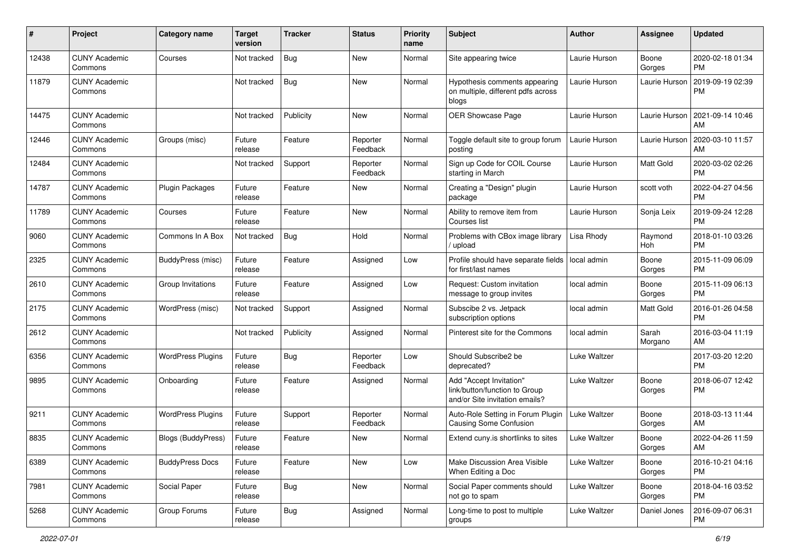| #     | Project                         | <b>Category name</b>     | <b>Target</b><br>version | Tracker    | <b>Status</b>        | <b>Priority</b><br>name | <b>Subject</b>                                                                             | <b>Author</b> | <b>Assignee</b>  | <b>Updated</b>                |
|-------|---------------------------------|--------------------------|--------------------------|------------|----------------------|-------------------------|--------------------------------------------------------------------------------------------|---------------|------------------|-------------------------------|
| 12438 | <b>CUNY Academic</b><br>Commons | Courses                  | Not tracked              | Bug        | New                  | Normal                  | Site appearing twice                                                                       | Laurie Hurson | Boone<br>Gorges  | 2020-02-18 01:34<br>PM.       |
| 11879 | <b>CUNY Academic</b><br>Commons |                          | Not tracked              | Bug        | New                  | Normal                  | Hypothesis comments appearing<br>on multiple, different pdfs across<br>blogs               | Laurie Hurson | Laurie Hurson    | 2019-09-19 02:39<br><b>PM</b> |
| 14475 | <b>CUNY Academic</b><br>Commons |                          | Not tracked              | Publicity  | New                  | Normal                  | OER Showcase Page                                                                          | Laurie Hurson | Laurie Hurson    | 2021-09-14 10:46<br>AM        |
| 12446 | <b>CUNY Academic</b><br>Commons | Groups (misc)            | Future<br>release        | Feature    | Reporter<br>Feedback | Normal                  | Toggle default site to group forum<br>posting                                              | Laurie Hurson | Laurie Hurson    | 2020-03-10 11:57<br>AM        |
| 12484 | <b>CUNY Academic</b><br>Commons |                          | Not tracked              | Support    | Reporter<br>Feedback | Normal                  | Sign up Code for COIL Course<br>starting in March                                          | Laurie Hurson | Matt Gold        | 2020-03-02 02:26<br><b>PM</b> |
| 14787 | <b>CUNY Academic</b><br>Commons | Plugin Packages          | Future<br>release        | Feature    | New                  | Normal                  | Creating a "Design" plugin<br>package                                                      | Laurie Hurson | scott voth       | 2022-04-27 04:56<br><b>PM</b> |
| 11789 | <b>CUNY Academic</b><br>Commons | Courses                  | Future<br>release        | Feature    | New                  | Normal                  | Ability to remove item from<br>Courses list                                                | Laurie Hurson | Sonja Leix       | 2019-09-24 12:28<br><b>PM</b> |
| 9060  | <b>CUNY Academic</b><br>Commons | Commons In A Box         | Not tracked              | Bug        | Hold                 | Normal                  | Problems with CBox image library<br>/ upload                                               | Lisa Rhody    | Raymond<br>Hoh   | 2018-01-10 03:26<br><b>PM</b> |
| 2325  | <b>CUNY Academic</b><br>Commons | BuddyPress (misc)        | Future<br>release        | Feature    | Assigned             | Low                     | Profile should have separate fields<br>for first/last names                                | local admin   | Boone<br>Gorges  | 2015-11-09 06:09<br>PM.       |
| 2610  | <b>CUNY Academic</b><br>Commons | Group Invitations        | Future<br>release        | Feature    | Assigned             | Low                     | Request: Custom invitation<br>message to group invites                                     | local admin   | Boone<br>Gorges  | 2015-11-09 06:13<br><b>PM</b> |
| 2175  | <b>CUNY Academic</b><br>Commons | WordPress (misc)         | Not tracked              | Support    | Assigned             | Normal                  | Subscibe 2 vs. Jetpack<br>subscription options                                             | local admin   | Matt Gold        | 2016-01-26 04:58<br><b>PM</b> |
| 2612  | <b>CUNY Academic</b><br>Commons |                          | Not tracked              | Publicity  | Assigned             | Normal                  | Pinterest site for the Commons                                                             | local admin   | Sarah<br>Morgano | 2016-03-04 11:19<br>AM.       |
| 6356  | <b>CUNY Academic</b><br>Commons | <b>WordPress Plugins</b> | Future<br>release        | Bug        | Reporter<br>Feedback | Low                     | Should Subscribe2 be<br>deprecated?                                                        | Luke Waltzer  |                  | 2017-03-20 12:20<br><b>PM</b> |
| 9895  | <b>CUNY Academic</b><br>Commons | Onboarding               | Future<br>release        | Feature    | Assigned             | Normal                  | Add "Accept Invitation"<br>link/button/function to Group<br>and/or Site invitation emails? | Luke Waltzer  | Boone<br>Gorges  | 2018-06-07 12:42<br><b>PM</b> |
| 9211  | <b>CUNY Academic</b><br>Commons | <b>WordPress Plugins</b> | Future<br>release        | Support    | Reporter<br>Feedback | Normal                  | Auto-Role Setting in Forum Plugin<br><b>Causing Some Confusion</b>                         | Luke Waltzer  | Boone<br>Gorges  | 2018-03-13 11:44<br>AM.       |
| 8835  | <b>CUNY Academic</b><br>Commons | Blogs (BuddyPress)       | Future<br>release        | Feature    | New                  | Normal                  | Extend cuny.is shortlinks to sites                                                         | Luke Waltzer  | Boone<br>Gorges  | 2022-04-26 11:59<br>AM        |
| 6389  | <b>CUNY Academic</b><br>Commons | <b>BuddyPress Docs</b>   | Future<br>release        | Feature    | New                  | Low                     | Make Discussion Area Visible<br>When Editing a Doc                                         | Luke Waltzer  | Boone<br>Gorges  | 2016-10-21 04:16<br>PM.       |
| 7981  | <b>CUNY Academic</b><br>Commons | Social Paper             | Future<br>release        | <b>Bug</b> | New                  | Normal                  | Social Paper comments should<br>not go to spam                                             | Luke Waltzer  | Boone<br>Gorges  | 2018-04-16 03:52<br><b>PM</b> |
| 5268  | <b>CUNY Academic</b><br>Commons | Group Forums             | Future<br>release        | <b>Bug</b> | Assigned             | Normal                  | Long-time to post to multiple<br>groups                                                    | Luke Waltzer  | Daniel Jones     | 2016-09-07 06:31<br><b>PM</b> |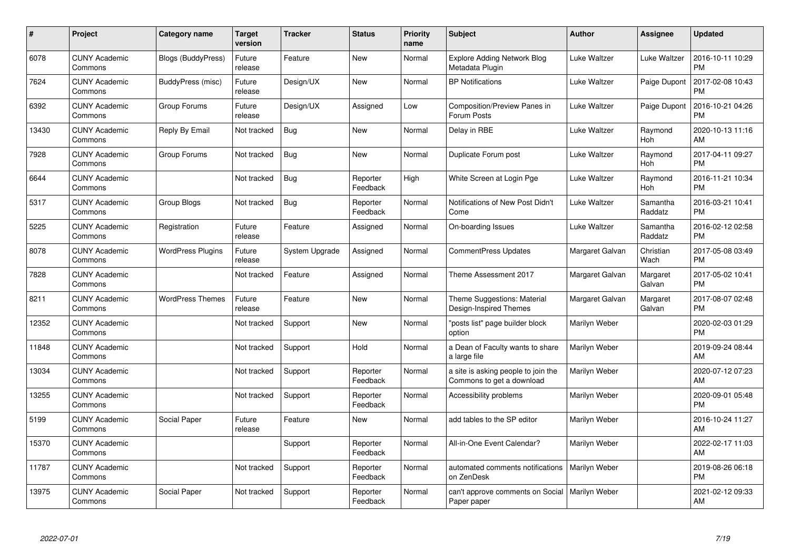| #     | Project                         | <b>Category name</b>      | Target<br>version | <b>Tracker</b> | <b>Status</b>        | Priority<br>name | <b>Subject</b>                                                   | <b>Author</b>   | <b>Assignee</b>     | <b>Updated</b>                |
|-------|---------------------------------|---------------------------|-------------------|----------------|----------------------|------------------|------------------------------------------------------------------|-----------------|---------------------|-------------------------------|
| 6078  | <b>CUNY Academic</b><br>Commons | <b>Blogs (BuddyPress)</b> | Future<br>release | Feature        | <b>New</b>           | Normal           | <b>Explore Adding Network Blog</b><br>Metadata Plugin            | Luke Waltzer    | Luke Waltzer        | 2016-10-11 10:29<br><b>PM</b> |
| 7624  | <b>CUNY Academic</b><br>Commons | BuddyPress (misc)         | Future<br>release | Design/UX      | <b>New</b>           | Normal           | <b>BP Notifications</b>                                          | Luke Waltzer    | Paige Dupont        | 2017-02-08 10:43<br><b>PM</b> |
| 6392  | <b>CUNY Academic</b><br>Commons | Group Forums              | Future<br>release | Design/UX      | Assigned             | Low              | Composition/Preview Panes in<br>Forum Posts                      | Luke Waltzer    | Paige Dupont        | 2016-10-21 04:26<br><b>PM</b> |
| 13430 | <b>CUNY Academic</b><br>Commons | Reply By Email            | Not tracked       | <b>Bug</b>     | <b>New</b>           | Normal           | Delay in RBE                                                     | Luke Waltzer    | Raymond<br>Hoh      | 2020-10-13 11:16<br>AM        |
| 7928  | <b>CUNY Academic</b><br>Commons | Group Forums              | Not tracked       | Bug            | <b>New</b>           | Normal           | Duplicate Forum post                                             | Luke Waltzer    | Raymond<br>Hoh      | 2017-04-11 09:27<br><b>PM</b> |
| 6644  | <b>CUNY Academic</b><br>Commons |                           | Not tracked       | Bug            | Reporter<br>Feedback | High             | White Screen at Login Pge                                        | Luke Waltzer    | Raymond<br>Hoh      | 2016-11-21 10:34<br><b>PM</b> |
| 5317  | <b>CUNY Academic</b><br>Commons | <b>Group Blogs</b>        | Not tracked       | <b>Bug</b>     | Reporter<br>Feedback | Normal           | Notifications of New Post Didn't<br>Come                         | Luke Waltzer    | Samantha<br>Raddatz | 2016-03-21 10:41<br><b>PM</b> |
| 5225  | <b>CUNY Academic</b><br>Commons | Registration              | Future<br>release | Feature        | Assigned             | Normal           | On-boarding Issues                                               | Luke Waltzer    | Samantha<br>Raddatz | 2016-02-12 02:58<br><b>PM</b> |
| 8078  | <b>CUNY Academic</b><br>Commons | <b>WordPress Plugins</b>  | Future<br>release | System Upgrade | Assigned             | Normal           | <b>CommentPress Updates</b>                                      | Margaret Galvan | Christian<br>Wach   | 2017-05-08 03:49<br><b>PM</b> |
| 7828  | <b>CUNY Academic</b><br>Commons |                           | Not tracked       | Feature        | Assigned             | Normal           | Theme Assessment 2017                                            | Margaret Galvan | Margaret<br>Galvan  | 2017-05-02 10:41<br><b>PM</b> |
| 8211  | <b>CUNY Academic</b><br>Commons | <b>WordPress Themes</b>   | Future<br>release | Feature        | <b>New</b>           | Normal           | Theme Suggestions: Material<br>Design-Inspired Themes            | Margaret Galvan | Margaret<br>Galvan  | 2017-08-07 02:48<br><b>PM</b> |
| 12352 | <b>CUNY Academic</b><br>Commons |                           | Not tracked       | Support        | <b>New</b>           | Normal           | "posts list" page builder block<br>option                        | Marilyn Weber   |                     | 2020-02-03 01:29<br><b>PM</b> |
| 11848 | <b>CUNY Academic</b><br>Commons |                           | Not tracked       | Support        | Hold                 | Normal           | a Dean of Faculty wants to share<br>a large file                 | Marilyn Weber   |                     | 2019-09-24 08:44<br>AM        |
| 13034 | <b>CUNY Academic</b><br>Commons |                           | Not tracked       | Support        | Reporter<br>Feedback | Normal           | a site is asking people to join the<br>Commons to get a download | Marilyn Weber   |                     | 2020-07-12 07:23<br>AM.       |
| 13255 | <b>CUNY Academic</b><br>Commons |                           | Not tracked       | Support        | Reporter<br>Feedback | Normal           | Accessibility problems                                           | Marilyn Weber   |                     | 2020-09-01 05:48<br><b>PM</b> |
| 5199  | <b>CUNY Academic</b><br>Commons | Social Paper              | Future<br>release | Feature        | New                  | Normal           | add tables to the SP editor                                      | Marilyn Weber   |                     | 2016-10-24 11:27<br>AM        |
| 15370 | <b>CUNY Academic</b><br>Commons |                           |                   | Support        | Reporter<br>Feedback | Normal           | All-in-One Event Calendar?                                       | Marilyn Weber   |                     | 2022-02-17 11:03<br><b>AM</b> |
| 11787 | <b>CUNY Academic</b><br>Commons |                           | Not tracked       | Support        | Reporter<br>Feedback | Normal           | automated comments notifications<br>on ZenDesk                   | Marilyn Weber   |                     | 2019-08-26 06:18<br><b>PM</b> |
| 13975 | <b>CUNY Academic</b><br>Commons | Social Paper              | Not tracked       | Support        | Reporter<br>Feedback | Normal           | can't approve comments on Social<br>Paper paper                  | Marilyn Weber   |                     | 2021-02-12 09:33<br>AM        |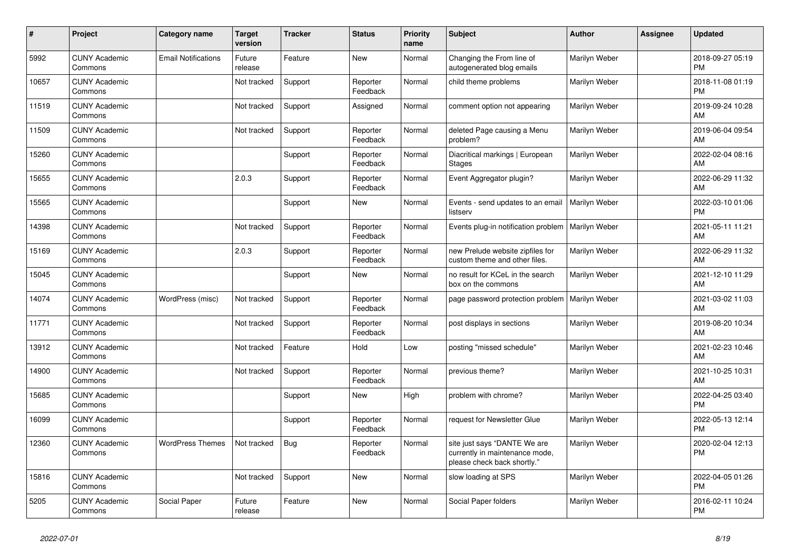| #     | Project                         | Category name              | <b>Target</b><br>version | <b>Tracker</b> | <b>Status</b>        | <b>Priority</b><br>name | <b>Subject</b>                                                                                | <b>Author</b> | <b>Assignee</b> | <b>Updated</b>                |
|-------|---------------------------------|----------------------------|--------------------------|----------------|----------------------|-------------------------|-----------------------------------------------------------------------------------------------|---------------|-----------------|-------------------------------|
| 5992  | <b>CUNY Academic</b><br>Commons | <b>Email Notifications</b> | Future<br>release        | Feature        | New                  | Normal                  | Changing the From line of<br>autogenerated blog emails                                        | Marilyn Weber |                 | 2018-09-27 05:19<br><b>PM</b> |
| 10657 | <b>CUNY Academic</b><br>Commons |                            | Not tracked              | Support        | Reporter<br>Feedback | Normal                  | child theme problems                                                                          | Marilyn Weber |                 | 2018-11-08 01:19<br><b>PM</b> |
| 11519 | <b>CUNY Academic</b><br>Commons |                            | Not tracked              | Support        | Assigned             | Normal                  | comment option not appearing                                                                  | Marilyn Weber |                 | 2019-09-24 10:28<br>AM        |
| 11509 | <b>CUNY Academic</b><br>Commons |                            | Not tracked              | Support        | Reporter<br>Feedback | Normal                  | deleted Page causing a Menu<br>problem?                                                       | Marilyn Weber |                 | 2019-06-04 09:54<br>AM        |
| 15260 | <b>CUNY Academic</b><br>Commons |                            |                          | Support        | Reporter<br>Feedback | Normal                  | Diacritical markings   European<br>Stages                                                     | Marilyn Weber |                 | 2022-02-04 08:16<br>AM        |
| 15655 | <b>CUNY Academic</b><br>Commons |                            | 2.0.3                    | Support        | Reporter<br>Feedback | Normal                  | Event Aggregator plugin?                                                                      | Marilyn Weber |                 | 2022-06-29 11:32<br>AM        |
| 15565 | <b>CUNY Academic</b><br>Commons |                            |                          | Support        | New                  | Normal                  | Events - send updates to an email<br>listserv                                                 | Marilyn Weber |                 | 2022-03-10 01:06<br><b>PM</b> |
| 14398 | <b>CUNY Academic</b><br>Commons |                            | Not tracked              | Support        | Reporter<br>Feedback | Normal                  | Events plug-in notification problem                                                           | Marilyn Weber |                 | 2021-05-11 11:21<br>AM        |
| 15169 | <b>CUNY Academic</b><br>Commons |                            | 2.0.3                    | Support        | Reporter<br>Feedback | Normal                  | new Prelude website zipfiles for<br>custom theme and other files.                             | Marilyn Weber |                 | 2022-06-29 11:32<br>AM        |
| 15045 | <b>CUNY Academic</b><br>Commons |                            |                          | Support        | New                  | Normal                  | no result for KCeL in the search<br>box on the commons                                        | Marilyn Weber |                 | 2021-12-10 11:29<br>AM        |
| 14074 | <b>CUNY Academic</b><br>Commons | WordPress (misc)           | Not tracked              | Support        | Reporter<br>Feedback | Normal                  | page password protection problem                                                              | Marilyn Weber |                 | 2021-03-02 11:03<br>AM        |
| 11771 | <b>CUNY Academic</b><br>Commons |                            | Not tracked              | Support        | Reporter<br>Feedback | Normal                  | post displays in sections                                                                     | Marilyn Weber |                 | 2019-08-20 10:34<br>AM        |
| 13912 | <b>CUNY Academic</b><br>Commons |                            | Not tracked              | Feature        | Hold                 | Low                     | posting "missed schedule"                                                                     | Marilyn Weber |                 | 2021-02-23 10:46<br>AM        |
| 14900 | <b>CUNY Academic</b><br>Commons |                            | Not tracked              | Support        | Reporter<br>Feedback | Normal                  | previous theme?                                                                               | Marilyn Weber |                 | 2021-10-25 10:31<br>AM        |
| 15685 | <b>CUNY Academic</b><br>Commons |                            |                          | Support        | New                  | High                    | problem with chrome?                                                                          | Marilyn Weber |                 | 2022-04-25 03:40<br><b>PM</b> |
| 16099 | <b>CUNY Academic</b><br>Commons |                            |                          | Support        | Reporter<br>Feedback | Normal                  | request for Newsletter Glue                                                                   | Marilyn Weber |                 | 2022-05-13 12:14<br><b>PM</b> |
| 12360 | <b>CUNY Academic</b><br>Commons | <b>WordPress Themes</b>    | Not tracked              | <b>Bug</b>     | Reporter<br>Feedback | Normal                  | site just says "DANTE We are<br>currently in maintenance mode,<br>please check back shortly." | Marilyn Weber |                 | 2020-02-04 12:13<br><b>PM</b> |
| 15816 | <b>CUNY Academic</b><br>Commons |                            | Not tracked              | Support        | New                  | Normal                  | slow loading at SPS                                                                           | Marilyn Weber |                 | 2022-04-05 01:26<br><b>PM</b> |
| 5205  | <b>CUNY Academic</b><br>Commons | Social Paper               | Future<br>release        | Feature        | <b>New</b>           | Normal                  | Social Paper folders                                                                          | Marilyn Weber |                 | 2016-02-11 10:24<br><b>PM</b> |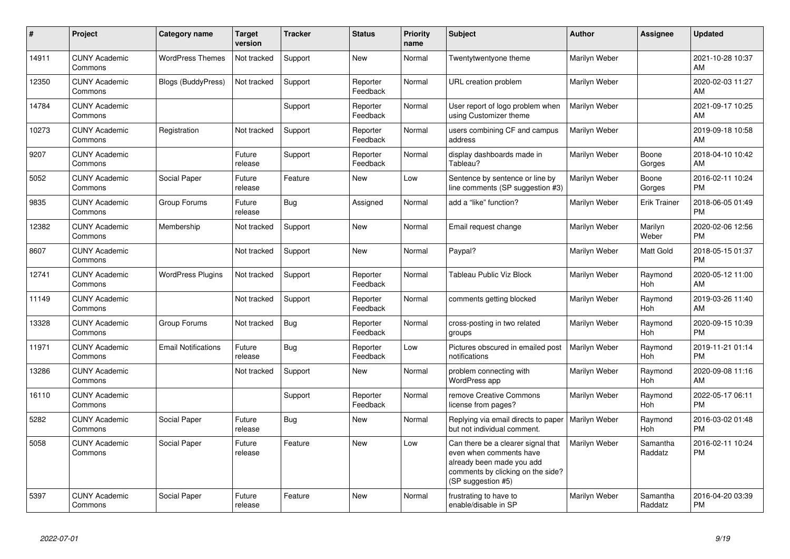| #     | Project                         | <b>Category name</b>       | <b>Target</b><br>version | <b>Tracker</b> | <b>Status</b>        | Priority<br>name | <b>Subject</b>                                                                                                                                        | <b>Author</b> | <b>Assignee</b>     | <b>Updated</b>                |
|-------|---------------------------------|----------------------------|--------------------------|----------------|----------------------|------------------|-------------------------------------------------------------------------------------------------------------------------------------------------------|---------------|---------------------|-------------------------------|
| 14911 | <b>CUNY Academic</b><br>Commons | <b>WordPress Themes</b>    | Not tracked              | Support        | New                  | Normal           | Twentytwentyone theme                                                                                                                                 | Marilyn Weber |                     | 2021-10-28 10:37<br>AM        |
| 12350 | <b>CUNY Academic</b><br>Commons | <b>Blogs (BuddyPress)</b>  | Not tracked              | Support        | Reporter<br>Feedback | Normal           | URL creation problem                                                                                                                                  | Marilyn Weber |                     | 2020-02-03 11:27<br>AM        |
| 14784 | <b>CUNY Academic</b><br>Commons |                            |                          | Support        | Reporter<br>Feedback | Normal           | User report of logo problem when<br>using Customizer theme                                                                                            | Marilyn Weber |                     | 2021-09-17 10:25<br>AM        |
| 10273 | <b>CUNY Academic</b><br>Commons | Registration               | Not tracked              | Support        | Reporter<br>Feedback | Normal           | users combining CF and campus<br>address                                                                                                              | Marilyn Weber |                     | 2019-09-18 10:58<br>AM        |
| 9207  | <b>CUNY Academic</b><br>Commons |                            | Future<br>release        | Support        | Reporter<br>Feedback | Normal           | display dashboards made in<br>Tableau?                                                                                                                | Marilyn Weber | Boone<br>Gorges     | 2018-04-10 10:42<br>AM        |
| 5052  | <b>CUNY Academic</b><br>Commons | Social Paper               | Future<br>release        | Feature        | <b>New</b>           | Low              | Sentence by sentence or line by<br>line comments (SP suggestion #3)                                                                                   | Marilyn Weber | Boone<br>Gorges     | 2016-02-11 10:24<br><b>PM</b> |
| 9835  | <b>CUNY Academic</b><br>Commons | Group Forums               | Future<br>release        | Bug            | Assigned             | Normal           | add a "like" function?                                                                                                                                | Marilyn Weber | <b>Erik Trainer</b> | 2018-06-05 01:49<br><b>PM</b> |
| 12382 | <b>CUNY Academic</b><br>Commons | Membership                 | Not tracked              | Support        | <b>New</b>           | Normal           | Email request change                                                                                                                                  | Marilyn Weber | Marilyn<br>Weber    | 2020-02-06 12:56<br><b>PM</b> |
| 8607  | <b>CUNY Academic</b><br>Commons |                            | Not tracked              | Support        | New                  | Normal           | Paypal?                                                                                                                                               | Marilyn Weber | Matt Gold           | 2018-05-15 01:37<br><b>PM</b> |
| 12741 | <b>CUNY Academic</b><br>Commons | <b>WordPress Plugins</b>   | Not tracked              | Support        | Reporter<br>Feedback | Normal           | <b>Tableau Public Viz Block</b>                                                                                                                       | Marilyn Weber | Raymond<br>Hoh      | 2020-05-12 11:00<br>AM        |
| 11149 | <b>CUNY Academic</b><br>Commons |                            | Not tracked              | Support        | Reporter<br>Feedback | Normal           | comments getting blocked                                                                                                                              | Marilyn Weber | Raymond<br>Hoh      | 2019-03-26 11:40<br>AM        |
| 13328 | <b>CUNY Academic</b><br>Commons | Group Forums               | Not tracked              | Bug            | Reporter<br>Feedback | Normal           | cross-posting in two related<br>groups                                                                                                                | Marilyn Weber | Raymond<br>Hoh      | 2020-09-15 10:39<br><b>PM</b> |
| 11971 | <b>CUNY Academic</b><br>Commons | <b>Email Notifications</b> | Future<br>release        | Bug            | Reporter<br>Feedback | Low              | Pictures obscured in emailed post<br>notifications                                                                                                    | Marilyn Weber | Raymond<br>Hoh      | 2019-11-21 01:14<br><b>PM</b> |
| 13286 | <b>CUNY Academic</b><br>Commons |                            | Not tracked              | Support        | New                  | Normal           | problem connecting with<br>WordPress app                                                                                                              | Marilyn Weber | Raymond<br>Hoh      | 2020-09-08 11:16<br>AM        |
| 16110 | <b>CUNY Academic</b><br>Commons |                            |                          | Support        | Reporter<br>Feedback | Normal           | remove Creative Commons<br>license from pages?                                                                                                        | Marilyn Weber | Raymond<br>Hoh      | 2022-05-17 06:11<br><b>PM</b> |
| 5282  | <b>CUNY Academic</b><br>Commons | Social Paper               | Future<br>release        | Bug            | New                  | Normal           | Replying via email directs to paper<br>but not individual comment.                                                                                    | Marilyn Weber | Raymond<br>Hoh      | 2016-03-02 01:48<br><b>PM</b> |
| 5058  | <b>CUNY Academic</b><br>Commons | Social Paper               | Future<br>release        | Feature        | New                  | Low              | Can there be a clearer signal that<br>even when comments have<br>already been made you add<br>comments by clicking on the side?<br>(SP suggestion #5) | Marilyn Weber | Samantha<br>Raddatz | 2016-02-11 10:24<br><b>PM</b> |
| 5397  | <b>CUNY Academic</b><br>Commons | Social Paper               | Future<br>release        | Feature        | <b>New</b>           | Normal           | frustrating to have to<br>enable/disable in SP                                                                                                        | Marilyn Weber | Samantha<br>Raddatz | 2016-04-20 03:39<br><b>PM</b> |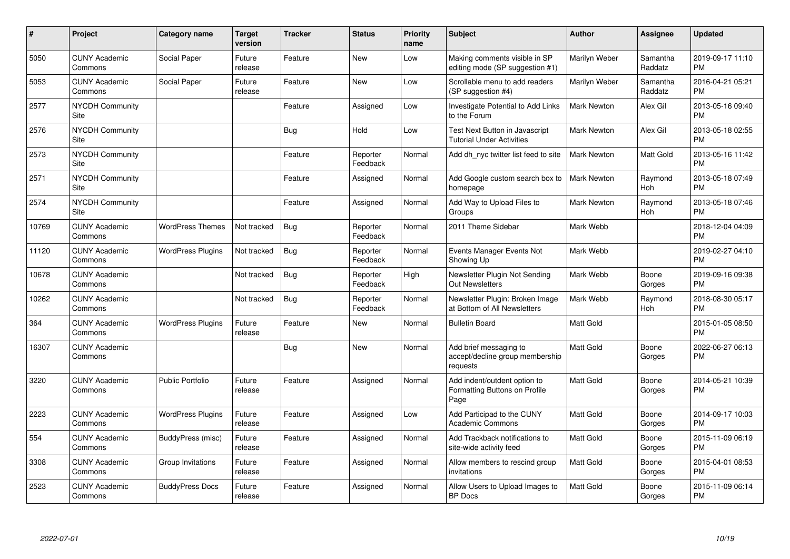| $\vert$ # | Project                               | Category name            | <b>Target</b><br>version | <b>Tracker</b> | <b>Status</b>        | <b>Priority</b><br>name | <b>Subject</b>                                                        | <b>Author</b>      | <b>Assignee</b>     | <b>Updated</b>                |
|-----------|---------------------------------------|--------------------------|--------------------------|----------------|----------------------|-------------------------|-----------------------------------------------------------------------|--------------------|---------------------|-------------------------------|
| 5050      | <b>CUNY Academic</b><br>Commons       | Social Paper             | Future<br>release        | Feature        | <b>New</b>           | Low                     | Making comments visible in SP<br>editing mode (SP suggestion #1)      | Marilyn Weber      | Samantha<br>Raddatz | 2019-09-17 11:10<br><b>PM</b> |
| 5053      | <b>CUNY Academic</b><br>Commons       | Social Paper             | Future<br>release        | Feature        | <b>New</b>           | Low                     | Scrollable menu to add readers<br>(SP suggestion #4)                  | Marilyn Weber      | Samantha<br>Raddatz | 2016-04-21 05:21<br><b>PM</b> |
| 2577      | <b>NYCDH Community</b><br>Site        |                          |                          | Feature        | Assigned             | Low                     | Investigate Potential to Add Links<br>to the Forum                    | Mark Newton        | Alex Gil            | 2013-05-16 09:40<br><b>PM</b> |
| 2576      | <b>NYCDH Community</b><br>Site        |                          |                          | Bug            | Hold                 | Low                     | Test Next Button in Javascript<br><b>Tutorial Under Activities</b>    | <b>Mark Newton</b> | Alex Gil            | 2013-05-18 02:55<br><b>PM</b> |
| 2573      | <b>NYCDH Community</b><br><b>Site</b> |                          |                          | Feature        | Reporter<br>Feedback | Normal                  | Add dh_nyc twitter list feed to site                                  | <b>Mark Newton</b> | Matt Gold           | 2013-05-16 11:42<br><b>PM</b> |
| 2571      | <b>NYCDH Community</b><br>Site        |                          |                          | Feature        | Assigned             | Normal                  | Add Google custom search box to<br>homepage                           | Mark Newton        | Raymond<br>Hoh      | 2013-05-18 07:49<br><b>PM</b> |
| 2574      | <b>NYCDH Community</b><br>Site        |                          |                          | Feature        | Assigned             | Normal                  | Add Way to Upload Files to<br>Groups                                  | <b>Mark Newton</b> | Raymond<br>Hoh      | 2013-05-18 07:46<br><b>PM</b> |
| 10769     | <b>CUNY Academic</b><br>Commons       | <b>WordPress Themes</b>  | Not tracked              | <b>Bug</b>     | Reporter<br>Feedback | Normal                  | 2011 Theme Sidebar                                                    | Mark Webb          |                     | 2018-12-04 04:09<br><b>PM</b> |
| 11120     | <b>CUNY Academic</b><br>Commons       | <b>WordPress Plugins</b> | Not tracked              | <b>Bug</b>     | Reporter<br>Feedback | Normal                  | Events Manager Events Not<br>Showing Up                               | Mark Webb          |                     | 2019-02-27 04:10<br><b>PM</b> |
| 10678     | <b>CUNY Academic</b><br>Commons       |                          | Not tracked              | <b>Bug</b>     | Reporter<br>Feedback | High                    | Newsletter Plugin Not Sending<br><b>Out Newsletters</b>               | Mark Webb          | Boone<br>Gorges     | 2019-09-16 09:38<br><b>PM</b> |
| 10262     | <b>CUNY Academic</b><br>Commons       |                          | Not tracked              | Bug            | Reporter<br>Feedback | Normal                  | Newsletter Plugin: Broken Image<br>at Bottom of All Newsletters       | Mark Webb          | Raymond<br>Hoh      | 2018-08-30 05:17<br><b>PM</b> |
| 364       | <b>CUNY Academic</b><br>Commons       | <b>WordPress Plugins</b> | Future<br>release        | Feature        | <b>New</b>           | Normal                  | <b>Bulletin Board</b>                                                 | <b>Matt Gold</b>   |                     | 2015-01-05 08:50<br><b>PM</b> |
| 16307     | <b>CUNY Academic</b><br>Commons       |                          |                          | Bug            | <b>New</b>           | Normal                  | Add brief messaging to<br>accept/decline group membership<br>requests | Matt Gold          | Boone<br>Gorges     | 2022-06-27 06:13<br><b>PM</b> |
| 3220      | <b>CUNY Academic</b><br>Commons       | <b>Public Portfolio</b>  | Future<br>release        | Feature        | Assigned             | Normal                  | Add indent/outdent option to<br>Formatting Buttons on Profile<br>Page | <b>Matt Gold</b>   | Boone<br>Gorges     | 2014-05-21 10:39<br><b>PM</b> |
| 2223      | <b>CUNY Academic</b><br>Commons       | <b>WordPress Plugins</b> | Future<br>release        | Feature        | Assigned             | Low                     | Add Participad to the CUNY<br>Academic Commons                        | <b>Matt Gold</b>   | Boone<br>Gorges     | 2014-09-17 10:03<br><b>PM</b> |
| 554       | <b>CUNY Academic</b><br>Commons       | BuddyPress (misc)        | Future<br>release        | Feature        | Assigned             | Normal                  | Add Trackback notifications to<br>site-wide activity feed             | <b>Matt Gold</b>   | Boone<br>Gorges     | 2015-11-09 06:19<br><b>PM</b> |
| 3308      | <b>CUNY Academic</b><br>Commons       | Group Invitations        | Future<br>release        | Feature        | Assigned             | Normal                  | Allow members to rescind group<br>invitations                         | <b>Matt Gold</b>   | Boone<br>Gorges     | 2015-04-01 08:53<br><b>PM</b> |
| 2523      | <b>CUNY Academic</b><br>Commons       | <b>BuddyPress Docs</b>   | Future<br>release        | Feature        | Assigned             | Normal                  | Allow Users to Upload Images to<br><b>BP</b> Docs                     | <b>Matt Gold</b>   | Boone<br>Gorges     | 2015-11-09 06:14<br><b>PM</b> |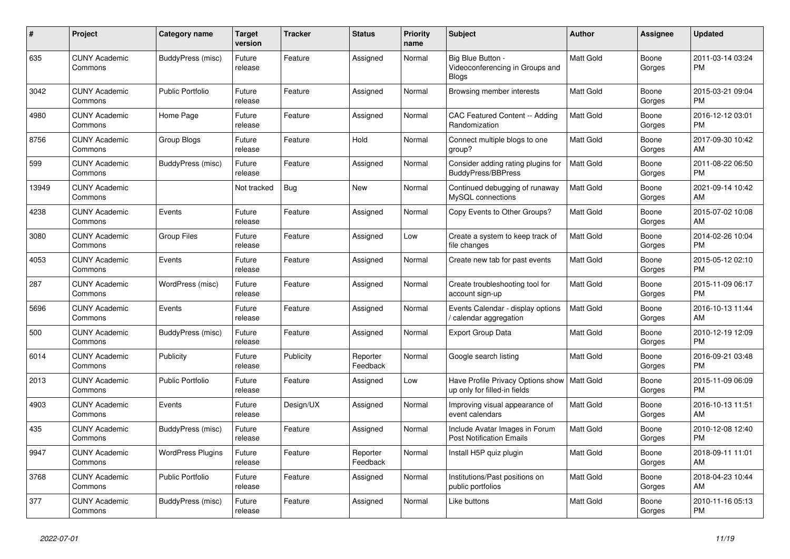| #     | Project                         | <b>Category name</b>     | <b>Target</b><br>version | <b>Tracker</b> | <b>Status</b>        | <b>Priority</b><br>name | <b>Subject</b>                                                       | <b>Author</b>    | Assignee        | <b>Updated</b>                |
|-------|---------------------------------|--------------------------|--------------------------|----------------|----------------------|-------------------------|----------------------------------------------------------------------|------------------|-----------------|-------------------------------|
| 635   | <b>CUNY Academic</b><br>Commons | <b>BuddyPress (misc)</b> | Future<br>release        | Feature        | Assigned             | Normal                  | Big Blue Button -<br>Videoconferencing in Groups and<br><b>Blogs</b> | <b>Matt Gold</b> | Boone<br>Gorges | 2011-03-14 03:24<br><b>PM</b> |
| 3042  | <b>CUNY Academic</b><br>Commons | <b>Public Portfolio</b>  | Future<br>release        | Feature        | Assigned             | Normal                  | Browsing member interests                                            | <b>Matt Gold</b> | Boone<br>Gorges | 2015-03-21 09:04<br><b>PM</b> |
| 4980  | <b>CUNY Academic</b><br>Commons | Home Page                | Future<br>release        | Feature        | Assigned             | Normal                  | <b>CAC Featured Content -- Adding</b><br>Randomization               | Matt Gold        | Boone<br>Gorges | 2016-12-12 03:01<br><b>PM</b> |
| 8756  | <b>CUNY Academic</b><br>Commons | Group Blogs              | Future<br>release        | Feature        | Hold                 | Normal                  | Connect multiple blogs to one<br>group?                              | <b>Matt Gold</b> | Boone<br>Gorges | 2017-09-30 10:42<br>AM        |
| 599   | <b>CUNY Academic</b><br>Commons | BuddyPress (misc)        | Future<br>release        | Feature        | Assigned             | Normal                  | Consider adding rating plugins for<br><b>BuddyPress/BBPress</b>      | Matt Gold        | Boone<br>Gorges | 2011-08-22 06:50<br><b>PM</b> |
| 13949 | <b>CUNY Academic</b><br>Commons |                          | Not tracked              | Bug            | <b>New</b>           | Normal                  | Continued debugging of runaway<br>MySQL connections                  | <b>Matt Gold</b> | Boone<br>Gorges | 2021-09-14 10:42<br>AM        |
| 4238  | <b>CUNY Academic</b><br>Commons | Events                   | Future<br>release        | Feature        | Assigned             | Normal                  | Copy Events to Other Groups?                                         | Matt Gold        | Boone<br>Gorges | 2015-07-02 10:08<br>AM        |
| 3080  | <b>CUNY Academic</b><br>Commons | <b>Group Files</b>       | Future<br>release        | Feature        | Assigned             | Low                     | Create a system to keep track of<br>file changes                     | <b>Matt Gold</b> | Boone<br>Gorges | 2014-02-26 10:04<br><b>PM</b> |
| 4053  | <b>CUNY Academic</b><br>Commons | Events                   | Future<br>release        | Feature        | Assigned             | Normal                  | Create new tab for past events                                       | <b>Matt Gold</b> | Boone<br>Gorges | 2015-05-12 02:10<br><b>PM</b> |
| 287   | <b>CUNY Academic</b><br>Commons | WordPress (misc)         | Future<br>release        | Feature        | Assigned             | Normal                  | Create troubleshooting tool for<br>account sign-up                   | <b>Matt Gold</b> | Boone<br>Gorges | 2015-11-09 06:17<br><b>PM</b> |
| 5696  | <b>CUNY Academic</b><br>Commons | Events                   | Future<br>release        | Feature        | Assigned             | Normal                  | Events Calendar - display options<br>/ calendar aggregation          | <b>Matt Gold</b> | Boone<br>Gorges | 2016-10-13 11:44<br>AM        |
| 500   | <b>CUNY Academic</b><br>Commons | BuddyPress (misc)        | Future<br>release        | Feature        | Assigned             | Normal                  | <b>Export Group Data</b>                                             | Matt Gold        | Boone<br>Gorges | 2010-12-19 12:09<br><b>PM</b> |
| 6014  | <b>CUNY Academic</b><br>Commons | Publicity                | Future<br>release        | Publicity      | Reporter<br>Feedback | Normal                  | Google search listing                                                | <b>Matt Gold</b> | Boone<br>Gorges | 2016-09-21 03:48<br><b>PM</b> |
| 2013  | <b>CUNY Academic</b><br>Commons | <b>Public Portfolio</b>  | Future<br>release        | Feature        | Assigned             | Low                     | Have Profile Privacy Options show<br>up only for filled-in fields    | Matt Gold        | Boone<br>Gorges | 2015-11-09 06:09<br><b>PM</b> |
| 4903  | <b>CUNY Academic</b><br>Commons | Events                   | Future<br>release        | Design/UX      | Assigned             | Normal                  | Improving visual appearance of<br>event calendars                    | <b>Matt Gold</b> | Boone<br>Gorges | 2016-10-13 11:51<br>AM        |
| 435   | <b>CUNY Academic</b><br>Commons | BuddyPress (misc)        | Future<br>release        | Feature        | Assigned             | Normal                  | Include Avatar Images in Forum<br><b>Post Notification Emails</b>    | <b>Matt Gold</b> | Boone<br>Gorges | 2010-12-08 12:40<br><b>PM</b> |
| 9947  | <b>CUNY Academic</b><br>Commons | <b>WordPress Plugins</b> | Future<br>release        | Feature        | Reporter<br>Feedback | Normal                  | Install H5P quiz plugin                                              | Matt Gold        | Boone<br>Gorges | 2018-09-11 11:01<br>AM        |
| 3768  | <b>CUNY Academic</b><br>Commons | <b>Public Portfolio</b>  | Future<br>release        | Feature        | Assigned             | Normal                  | Institutions/Past positions on<br>public portfolios                  | <b>Matt Gold</b> | Boone<br>Gorges | 2018-04-23 10:44<br>AM        |
| 377   | <b>CUNY Academic</b><br>Commons | BuddyPress (misc)        | Future<br>release        | Feature        | Assigned             | Normal                  | Like buttons                                                         | Matt Gold        | Boone<br>Gorges | 2010-11-16 05:13<br>PM        |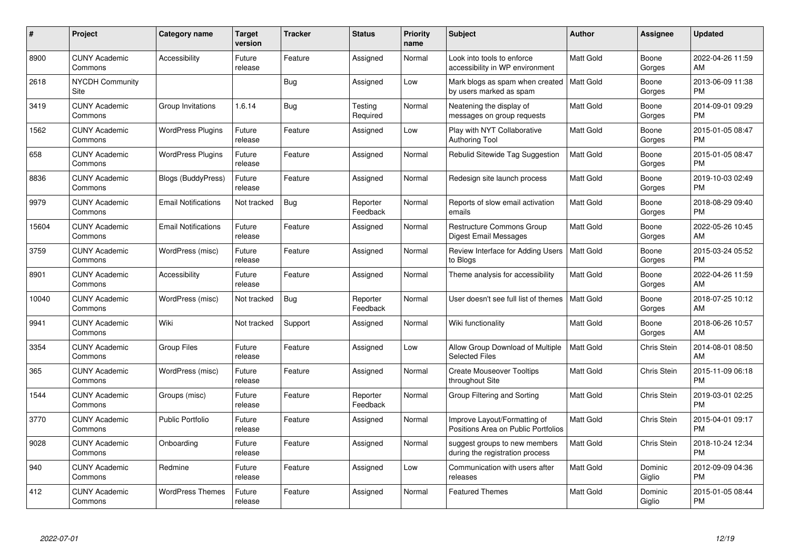| #     | Project                         | <b>Category name</b>       | <b>Target</b><br>version | <b>Tracker</b> | <b>Status</b>        | Priority<br>name | <b>Subject</b>                                                      | <b>Author</b>    | <b>Assignee</b>    | <b>Updated</b>                |
|-------|---------------------------------|----------------------------|--------------------------|----------------|----------------------|------------------|---------------------------------------------------------------------|------------------|--------------------|-------------------------------|
| 8900  | <b>CUNY Academic</b><br>Commons | Accessibility              | Future<br>release        | Feature        | Assigned             | Normal           | Look into tools to enforce<br>accessibility in WP environment       | <b>Matt Gold</b> | Boone<br>Gorges    | 2022-04-26 11:59<br>AM        |
| 2618  | <b>NYCDH Community</b><br>Site  |                            |                          | Bug            | Assigned             | Low              | Mark blogs as spam when created<br>by users marked as spam          | <b>Matt Gold</b> | Boone<br>Gorges    | 2013-06-09 11:38<br><b>PM</b> |
| 3419  | <b>CUNY Academic</b><br>Commons | Group Invitations          | 1.6.14                   | Bug            | Testing<br>Required  | Normal           | Neatening the display of<br>messages on group requests              | Matt Gold        | Boone<br>Gorges    | 2014-09-01 09:29<br><b>PM</b> |
| 1562  | <b>CUNY Academic</b><br>Commons | <b>WordPress Plugins</b>   | Future<br>release        | Feature        | Assigned             | Low              | Play with NYT Collaborative<br><b>Authoring Tool</b>                | <b>Matt Gold</b> | Boone<br>Gorges    | 2015-01-05 08:47<br><b>PM</b> |
| 658   | <b>CUNY Academic</b><br>Commons | <b>WordPress Plugins</b>   | Future<br>release        | Feature        | Assigned             | Normal           | Rebulid Sitewide Tag Suggestion                                     | <b>Matt Gold</b> | Boone<br>Gorges    | 2015-01-05 08:47<br><b>PM</b> |
| 8836  | <b>CUNY Academic</b><br>Commons | <b>Blogs (BuddyPress)</b>  | Future<br>release        | Feature        | Assigned             | Normal           | Redesign site launch process                                        | <b>Matt Gold</b> | Boone<br>Gorges    | 2019-10-03 02:49<br><b>PM</b> |
| 9979  | <b>CUNY Academic</b><br>Commons | <b>Email Notifications</b> | Not tracked              | Bug            | Reporter<br>Feedback | Normal           | Reports of slow email activation<br>emails                          | Matt Gold        | Boone<br>Gorges    | 2018-08-29 09:40<br><b>PM</b> |
| 15604 | <b>CUNY Academic</b><br>Commons | <b>Email Notifications</b> | Future<br>release        | Feature        | Assigned             | Normal           | <b>Restructure Commons Group</b><br>Digest Email Messages           | <b>Matt Gold</b> | Boone<br>Gorges    | 2022-05-26 10:45<br>AM        |
| 3759  | <b>CUNY Academic</b><br>Commons | WordPress (misc)           | Future<br>release        | Feature        | Assigned             | Normal           | Review Interface for Adding Users<br>to Blogs                       | <b>Matt Gold</b> | Boone<br>Gorges    | 2015-03-24 05:52<br><b>PM</b> |
| 8901  | <b>CUNY Academic</b><br>Commons | Accessibility              | Future<br>release        | Feature        | Assigned             | Normal           | Theme analysis for accessibility                                    | <b>Matt Gold</b> | Boone<br>Gorges    | 2022-04-26 11:59<br>AM        |
| 10040 | <b>CUNY Academic</b><br>Commons | WordPress (misc)           | Not tracked              | Bug            | Reporter<br>Feedback | Normal           | User doesn't see full list of themes                                | <b>Matt Gold</b> | Boone<br>Gorges    | 2018-07-25 10:12<br>AM        |
| 9941  | <b>CUNY Academic</b><br>Commons | Wiki                       | Not tracked              | Support        | Assigned             | Normal           | Wiki functionality                                                  | Matt Gold        | Boone<br>Gorges    | 2018-06-26 10:57<br>AM        |
| 3354  | <b>CUNY Academic</b><br>Commons | <b>Group Files</b>         | Future<br>release        | Feature        | Assigned             | Low              | Allow Group Download of Multiple<br><b>Selected Files</b>           | Matt Gold        | Chris Stein        | 2014-08-01 08:50<br>AM        |
| 365   | <b>CUNY Academic</b><br>Commons | WordPress (misc)           | Future<br>release        | Feature        | Assigned             | Normal           | <b>Create Mouseover Tooltips</b><br>throughout Site                 | Matt Gold        | Chris Stein        | 2015-11-09 06:18<br><b>PM</b> |
| 1544  | <b>CUNY Academic</b><br>Commons | Groups (misc)              | Future<br>release        | Feature        | Reporter<br>Feedback | Normal           | Group Filtering and Sorting                                         | Matt Gold        | Chris Stein        | 2019-03-01 02:25<br><b>PM</b> |
| 3770  | <b>CUNY Academic</b><br>Commons | <b>Public Portfolio</b>    | Future<br>release        | Feature        | Assigned             | Normal           | Improve Layout/Formatting of<br>Positions Area on Public Portfolios | <b>Matt Gold</b> | Chris Stein        | 2015-04-01 09:17<br><b>PM</b> |
| 9028  | <b>CUNY Academic</b><br>Commons | Onboarding                 | Future<br>release        | Feature        | Assigned             | Normal           | suggest groups to new members<br>during the registration process    | <b>Matt Gold</b> | <b>Chris Stein</b> | 2018-10-24 12:34<br><b>PM</b> |
| 940   | <b>CUNY Academic</b><br>Commons | Redmine                    | Future<br>release        | Feature        | Assigned             | Low              | Communication with users after<br>releases                          | Matt Gold        | Dominic<br>Giglio  | 2012-09-09 04:36<br><b>PM</b> |
| 412   | CUNY Academic<br>Commons        | <b>WordPress Themes</b>    | Future<br>release        | Feature        | Assigned             | Normal           | <b>Featured Themes</b>                                              | <b>Matt Gold</b> | Dominic<br>Giglio  | 2015-01-05 08:44<br><b>PM</b> |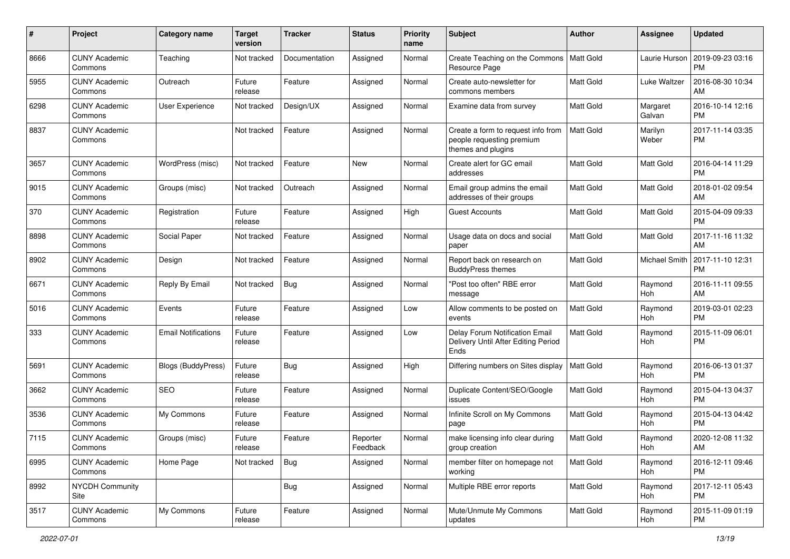| #    | Project                         | <b>Category name</b>       | <b>Target</b><br>version | <b>Tracker</b> | <b>Status</b>        | <b>Priority</b><br>name | <b>Subject</b>                                                                        | Author           | <b>Assignee</b>    | <b>Updated</b>                |
|------|---------------------------------|----------------------------|--------------------------|----------------|----------------------|-------------------------|---------------------------------------------------------------------------------------|------------------|--------------------|-------------------------------|
| 8666 | <b>CUNY Academic</b><br>Commons | Teaching                   | Not tracked              | Documentation  | Assigned             | Normal                  | Create Teaching on the Commons<br>Resource Page                                       | Matt Gold        | Laurie Hurson      | 2019-09-23 03:16<br>PM        |
| 5955 | <b>CUNY Academic</b><br>Commons | Outreach                   | Future<br>release        | Feature        | Assigned             | Normal                  | Create auto-newsletter for<br>commons members                                         | <b>Matt Gold</b> | Luke Waltzer       | 2016-08-30 10:34<br>AM        |
| 6298 | <b>CUNY Academic</b><br>Commons | <b>User Experience</b>     | Not tracked              | Design/UX      | Assigned             | Normal                  | Examine data from survey                                                              | <b>Matt Gold</b> | Margaret<br>Galvan | 2016-10-14 12:16<br><b>PM</b> |
| 8837 | <b>CUNY Academic</b><br>Commons |                            | Not tracked              | Feature        | Assigned             | Normal                  | Create a form to request info from<br>people requesting premium<br>themes and plugins | <b>Matt Gold</b> | Marilyn<br>Weber   | 2017-11-14 03:35<br>PM        |
| 3657 | <b>CUNY Academic</b><br>Commons | WordPress (misc)           | Not tracked              | Feature        | <b>New</b>           | Normal                  | Create alert for GC email<br>addresses                                                | <b>Matt Gold</b> | <b>Matt Gold</b>   | 2016-04-14 11:29<br><b>PM</b> |
| 9015 | <b>CUNY Academic</b><br>Commons | Groups (misc)              | Not tracked              | Outreach       | Assigned             | Normal                  | Email group admins the email<br>addresses of their groups                             | <b>Matt Gold</b> | <b>Matt Gold</b>   | 2018-01-02 09:54<br>AM        |
| 370  | <b>CUNY Academic</b><br>Commons | Registration               | Future<br>release        | Feature        | Assigned             | High                    | <b>Guest Accounts</b>                                                                 | <b>Matt Gold</b> | <b>Matt Gold</b>   | 2015-04-09 09:33<br><b>PM</b> |
| 8898 | <b>CUNY Academic</b><br>Commons | Social Paper               | Not tracked              | Feature        | Assigned             | Normal                  | Usage data on docs and social<br>paper                                                | Matt Gold        | <b>Matt Gold</b>   | 2017-11-16 11:32<br>AM        |
| 8902 | <b>CUNY Academic</b><br>Commons | Design                     | Not tracked              | Feature        | Assigned             | Normal                  | Report back on research on<br><b>BuddyPress themes</b>                                | <b>Matt Gold</b> | Michael Smith      | 2017-11-10 12:31<br><b>PM</b> |
| 6671 | <b>CUNY Academic</b><br>Commons | Reply By Email             | Not tracked              | Bug            | Assigned             | Normal                  | "Post too often" RBE error<br>message                                                 | <b>Matt Gold</b> | Raymond<br>Hoh     | 2016-11-11 09:55<br>AM        |
| 5016 | <b>CUNY Academic</b><br>Commons | Events                     | Future<br>release        | Feature        | Assigned             | Low                     | Allow comments to be posted on<br>events                                              | Matt Gold        | Raymond<br>Hoh     | 2019-03-01 02:23<br><b>PM</b> |
| 333  | <b>CUNY Academic</b><br>Commons | <b>Email Notifications</b> | Future<br>release        | Feature        | Assigned             | Low                     | Delay Forum Notification Email<br>Delivery Until After Editing Period<br>Ends         | <b>Matt Gold</b> | Raymond<br>Hoh     | 2015-11-09 06:01<br><b>PM</b> |
| 5691 | <b>CUNY Academic</b><br>Commons | Blogs (BuddyPress)         | Future<br>release        | Bug            | Assigned             | High                    | Differing numbers on Sites display                                                    | <b>Matt Gold</b> | Raymond<br>Hoh     | 2016-06-13 01:37<br><b>PM</b> |
| 3662 | <b>CUNY Academic</b><br>Commons | SEO                        | Future<br>release        | Feature        | Assigned             | Normal                  | Duplicate Content/SEO/Google<br>issues                                                | <b>Matt Gold</b> | Raymond<br>Hoh     | 2015-04-13 04:37<br><b>PM</b> |
| 3536 | <b>CUNY Academic</b><br>Commons | My Commons                 | Future<br>release        | Feature        | Assigned             | Normal                  | Infinite Scroll on My Commons<br>page                                                 | Matt Gold        | Raymond<br>Hoh     | 2015-04-13 04:42<br><b>PM</b> |
| 7115 | <b>CUNY Academic</b><br>Commons | Groups (misc)              | Future<br>release        | Feature        | Reporter<br>Feedback | Normal                  | make licensing info clear during<br>group creation                                    | Matt Gold        | Raymond<br>Hoh     | 2020-12-08 11:32<br>AM        |
| 6995 | <b>CUNY Academic</b><br>Commons | Home Page                  | Not tracked              | Bug            | Assigned             | Normal                  | member filter on homepage not<br>working                                              | Matt Gold        | Raymond<br>Hoh     | 2016-12-11 09:46<br><b>PM</b> |
| 8992 | <b>NYCDH Community</b><br>Site  |                            |                          | <b>Bug</b>     | Assigned             | Normal                  | Multiple RBE error reports                                                            | Matt Gold        | Raymond<br>Hoh     | 2017-12-11 05:43<br><b>PM</b> |
| 3517 | <b>CUNY Academic</b><br>Commons | My Commons                 | Future<br>release        | Feature        | Assigned             | Normal                  | Mute/Unmute My Commons<br>updates                                                     | Matt Gold        | Raymond<br>Hoh     | 2015-11-09 01:19<br><b>PM</b> |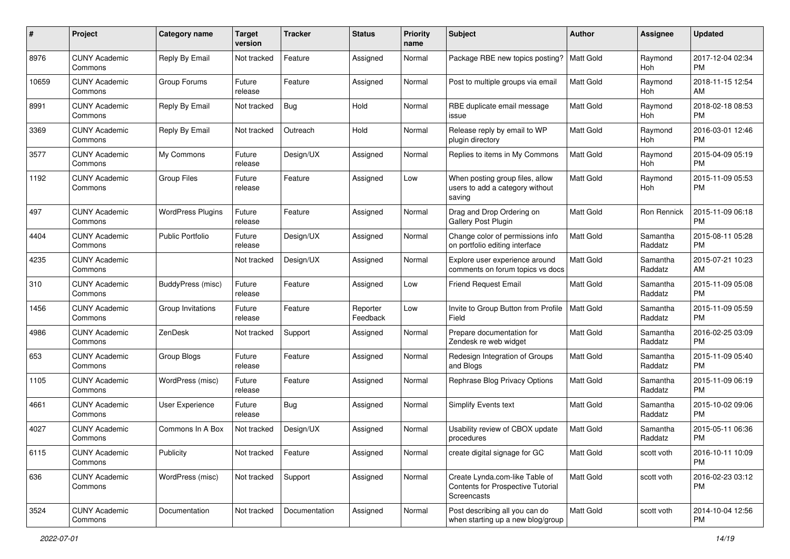| #     | Project                         | <b>Category name</b>     | <b>Target</b><br>version | <b>Tracker</b> | <b>Status</b>        | Priority<br>name | <b>Subject</b>                                                                     | Author           | <b>Assignee</b>     | <b>Updated</b>                |
|-------|---------------------------------|--------------------------|--------------------------|----------------|----------------------|------------------|------------------------------------------------------------------------------------|------------------|---------------------|-------------------------------|
| 8976  | <b>CUNY Academic</b><br>Commons | Reply By Email           | Not tracked              | Feature        | Assigned             | Normal           | Package RBE new topics posting?                                                    | <b>Matt Gold</b> | Raymond<br>Hoh      | 2017-12-04 02:34<br><b>PM</b> |
| 10659 | <b>CUNY Academic</b><br>Commons | Group Forums             | Future<br>release        | Feature        | Assigned             | Normal           | Post to multiple groups via email                                                  | <b>Matt Gold</b> | Raymond<br>Hoh      | 2018-11-15 12:54<br>AM        |
| 8991  | <b>CUNY Academic</b><br>Commons | Reply By Email           | Not tracked              | <b>Bug</b>     | Hold                 | Normal           | RBE duplicate email message<br>issue                                               | Matt Gold        | Raymond<br>Hoh      | 2018-02-18 08:53<br><b>PM</b> |
| 3369  | <b>CUNY Academic</b><br>Commons | Reply By Email           | Not tracked              | Outreach       | Hold                 | Normal           | Release reply by email to WP<br>plugin directory                                   | Matt Gold        | Raymond<br>Hoh      | 2016-03-01 12:46<br><b>PM</b> |
| 3577  | <b>CUNY Academic</b><br>Commons | My Commons               | Future<br>release        | Design/UX      | Assigned             | Normal           | Replies to items in My Commons                                                     | <b>Matt Gold</b> | Raymond<br>Hoh      | 2015-04-09 05:19<br><b>PM</b> |
| 1192  | <b>CUNY Academic</b><br>Commons | <b>Group Files</b>       | Future<br>release        | Feature        | Assigned             | Low              | When posting group files, allow<br>users to add a category without<br>saving       | <b>Matt Gold</b> | Raymond<br>Hoh      | 2015-11-09 05:53<br><b>PM</b> |
| 497   | <b>CUNY Academic</b><br>Commons | <b>WordPress Plugins</b> | Future<br>release        | Feature        | Assigned             | Normal           | Drag and Drop Ordering on<br><b>Gallery Post Plugin</b>                            | Matt Gold        | <b>Ron Rennick</b>  | 2015-11-09 06:18<br><b>PM</b> |
| 4404  | <b>CUNY Academic</b><br>Commons | <b>Public Portfolio</b>  | Future<br>release        | Design/UX      | Assigned             | Normal           | Change color of permissions info<br>on portfolio editing interface                 | Matt Gold        | Samantha<br>Raddatz | 2015-08-11 05:28<br><b>PM</b> |
| 4235  | <b>CUNY Academic</b><br>Commons |                          | Not tracked              | Design/UX      | Assigned             | Normal           | Explore user experience around<br>comments on forum topics vs docs                 | <b>Matt Gold</b> | Samantha<br>Raddatz | 2015-07-21 10:23<br>AM        |
| 310   | <b>CUNY Academic</b><br>Commons | <b>BuddyPress (misc)</b> | Future<br>release        | Feature        | Assigned             | Low              | Friend Request Email                                                               | <b>Matt Gold</b> | Samantha<br>Raddatz | 2015-11-09 05:08<br><b>PM</b> |
| 1456  | <b>CUNY Academic</b><br>Commons | Group Invitations        | Future<br>release        | Feature        | Reporter<br>Feedback | Low              | Invite to Group Button from Profile<br>Field                                       | <b>Matt Gold</b> | Samantha<br>Raddatz | 2015-11-09 05:59<br><b>PM</b> |
| 4986  | <b>CUNY Academic</b><br>Commons | ZenDesk                  | Not tracked              | Support        | Assigned             | Normal           | Prepare documentation for<br>Zendesk re web widget                                 | <b>Matt Gold</b> | Samantha<br>Raddatz | 2016-02-25 03:09<br><b>PM</b> |
| 653   | <b>CUNY Academic</b><br>Commons | Group Blogs              | Future<br>release        | Feature        | Assigned             | Normal           | Redesign Integration of Groups<br>and Blogs                                        | <b>Matt Gold</b> | Samantha<br>Raddatz | 2015-11-09 05:40<br><b>PM</b> |
| 1105  | <b>CUNY Academic</b><br>Commons | WordPress (misc)         | Future<br>release        | Feature        | Assigned             | Normal           | Rephrase Blog Privacy Options                                                      | <b>Matt Gold</b> | Samantha<br>Raddatz | 2015-11-09 06:19<br><b>PM</b> |
| 4661  | <b>CUNY Academic</b><br>Commons | User Experience          | Future<br>release        | Bug            | Assigned             | Normal           | <b>Simplify Events text</b>                                                        | Matt Gold        | Samantha<br>Raddatz | 2015-10-02 09:06<br><b>PM</b> |
| 4027  | <b>CUNY Academic</b><br>Commons | Commons In A Box         | Not tracked              | Design/UX      | Assigned             | Normal           | Usability review of CBOX update<br>procedures                                      | Matt Gold        | Samantha<br>Raddatz | 2015-05-11 06:36<br><b>PM</b> |
| 6115  | <b>CUNY Academic</b><br>Commons | Publicity                | Not tracked              | Feature        | Assigned             | Normal           | create digital signage for GC                                                      | <b>Matt Gold</b> | scott voth          | 2016-10-11 10:09<br><b>PM</b> |
| 636   | <b>CUNY Academic</b><br>Commons | WordPress (misc)         | Not tracked              | Support        | Assigned             | Normal           | Create Lynda.com-like Table of<br>Contents for Prospective Tutorial<br>Screencasts | Matt Gold        | scott voth          | 2016-02-23 03:12<br><b>PM</b> |
| 3524  | <b>CUNY Academic</b><br>Commons | Documentation            | Not tracked              | Documentation  | Assigned             | Normal           | Post describing all you can do<br>when starting up a new blog/group                | Matt Gold        | scott voth          | 2014-10-04 12:56<br><b>PM</b> |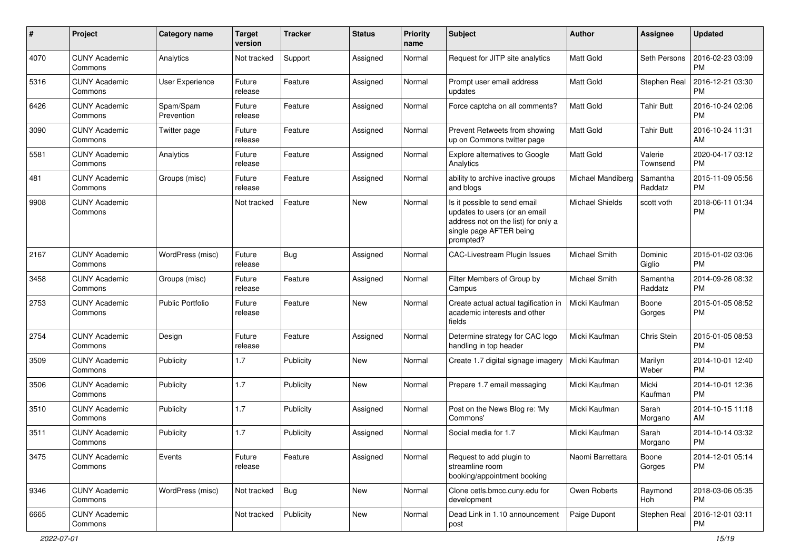| #    | Project                         | <b>Category name</b>    | <b>Target</b><br>version | <b>Tracker</b> | <b>Status</b> | <b>Priority</b><br>name | <b>Subject</b>                                                                                                                               | Author                 | <b>Assignee</b>     | <b>Updated</b>                |
|------|---------------------------------|-------------------------|--------------------------|----------------|---------------|-------------------------|----------------------------------------------------------------------------------------------------------------------------------------------|------------------------|---------------------|-------------------------------|
| 4070 | <b>CUNY Academic</b><br>Commons | Analytics               | Not tracked              | Support        | Assigned      | Normal                  | Request for JITP site analytics                                                                                                              | <b>Matt Gold</b>       | Seth Persons        | 2016-02-23 03:09<br>PM        |
| 5316 | <b>CUNY Academic</b><br>Commons | <b>User Experience</b>  | Future<br>release        | Feature        | Assigned      | Normal                  | Prompt user email address<br>updates                                                                                                         | <b>Matt Gold</b>       | Stephen Real        | 2016-12-21 03:30<br><b>PM</b> |
| 6426 | <b>CUNY Academic</b><br>Commons | Spam/Spam<br>Prevention | Future<br>release        | Feature        | Assigned      | Normal                  | Force captcha on all comments?                                                                                                               | <b>Matt Gold</b>       | <b>Tahir Butt</b>   | 2016-10-24 02:06<br><b>PM</b> |
| 3090 | <b>CUNY Academic</b><br>Commons | Twitter page            | Future<br>release        | Feature        | Assigned      | Normal                  | Prevent Retweets from showing<br>up on Commons twitter page                                                                                  | <b>Matt Gold</b>       | <b>Tahir Butt</b>   | 2016-10-24 11:31<br>AM        |
| 5581 | <b>CUNY Academic</b><br>Commons | Analytics               | Future<br>release        | Feature        | Assigned      | Normal                  | <b>Explore alternatives to Google</b><br>Analytics                                                                                           | <b>Matt Gold</b>       | Valerie<br>Townsend | 2020-04-17 03:12<br><b>PM</b> |
| 481  | <b>CUNY Academic</b><br>Commons | Groups (misc)           | Future<br>release        | Feature        | Assigned      | Normal                  | ability to archive inactive groups<br>and blogs                                                                                              | Michael Mandiberg      | Samantha<br>Raddatz | 2015-11-09 05:56<br><b>PM</b> |
| 9908 | <b>CUNY Academic</b><br>Commons |                         | Not tracked              | Feature        | New           | Normal                  | Is it possible to send email<br>updates to users (or an email<br>address not on the list) for only a<br>single page AFTER being<br>prompted? | <b>Michael Shields</b> | scott voth          | 2018-06-11 01:34<br><b>PM</b> |
| 2167 | <b>CUNY Academic</b><br>Commons | WordPress (misc)        | Future<br>release        | Bug            | Assigned      | Normal                  | CAC-Livestream Plugin Issues                                                                                                                 | Michael Smith          | Dominic<br>Giglio   | 2015-01-02 03:06<br><b>PM</b> |
| 3458 | <b>CUNY Academic</b><br>Commons | Groups (misc)           | Future<br>release        | Feature        | Assigned      | Normal                  | Filter Members of Group by<br>Campus                                                                                                         | Michael Smith          | Samantha<br>Raddatz | 2014-09-26 08:32<br><b>PM</b> |
| 2753 | <b>CUNY Academic</b><br>Commons | Public Portfolio        | Future<br>release        | Feature        | <b>New</b>    | Normal                  | Create actual actual tagification in<br>academic interests and other<br>fields                                                               | Micki Kaufman          | Boone<br>Gorges     | 2015-01-05 08:52<br><b>PM</b> |
| 2754 | <b>CUNY Academic</b><br>Commons | Design                  | Future<br>release        | Feature        | Assigned      | Normal                  | Determine strategy for CAC logo<br>handling in top header                                                                                    | Micki Kaufman          | Chris Stein         | 2015-01-05 08:53<br><b>PM</b> |
| 3509 | <b>CUNY Academic</b><br>Commons | Publicity               | 1.7                      | Publicity      | New           | Normal                  | Create 1.7 digital signage imagery                                                                                                           | Micki Kaufman          | Marilyn<br>Weber    | 2014-10-01 12:40<br><b>PM</b> |
| 3506 | <b>CUNY Academic</b><br>Commons | Publicity               | 1.7                      | Publicity      | <b>New</b>    | Normal                  | Prepare 1.7 email messaging                                                                                                                  | Micki Kaufman          | Micki<br>Kaufman    | 2014-10-01 12:36<br><b>PM</b> |
| 3510 | <b>CUNY Academic</b><br>Commons | Publicity               | 1.7                      | Publicity      | Assigned      | Normal                  | Post on the News Blog re: 'My<br>Commons'                                                                                                    | Micki Kaufman          | Sarah<br>Morgano    | 2014-10-15 11:18<br>AM        |
| 3511 | <b>CUNY Academic</b><br>Commons | Publicity               | 1.7                      | Publicity      | Assigned      | Normal                  | Social media for 1.7                                                                                                                         | Micki Kaufman          | Sarah<br>Morgano    | 2014-10-14 03:32<br><b>PM</b> |
| 3475 | <b>CUNY Academic</b><br>Commons | Events                  | Future<br>release        | Feature        | Assigned      | Normal                  | Request to add plugin to<br>streamline room<br>booking/appointment booking                                                                   | Naomi Barrettara       | Boone<br>Gorges     | 2014-12-01 05:14<br><b>PM</b> |
| 9346 | <b>CUNY Academic</b><br>Commons | WordPress (misc)        | Not tracked              | Bug            | New           | Normal                  | Clone cetls.bmcc.cuny.edu for<br>development                                                                                                 | Owen Roberts           | Raymond<br>Hoh      | 2018-03-06 05:35<br><b>PM</b> |
| 6665 | <b>CUNY Academic</b><br>Commons |                         | Not tracked              | Publicity      | New           | Normal                  | Dead Link in 1.10 announcement<br>post                                                                                                       | Paige Dupont           | Stephen Real        | 2016-12-01 03:11<br>PM        |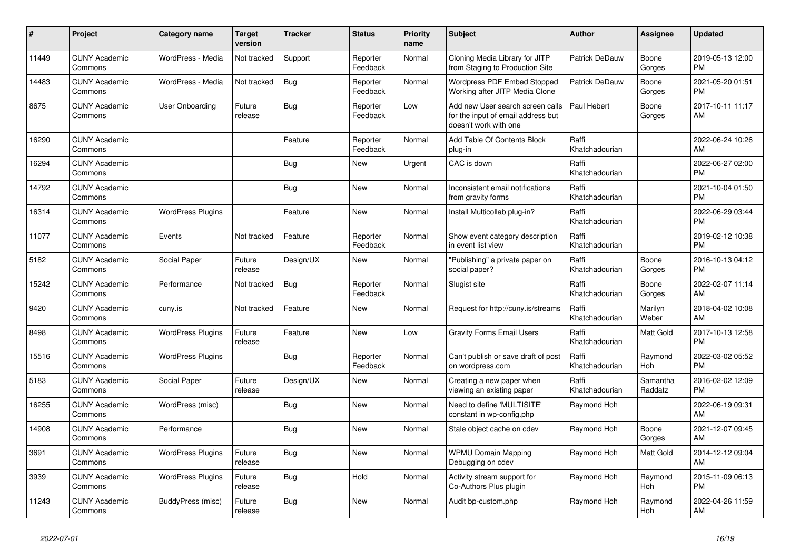| #     | Project                         | <b>Category name</b>     | <b>Target</b><br>version | <b>Tracker</b> | <b>Status</b>        | Priority<br>name | <b>Subject</b>                                                                                  | <b>Author</b>           | Assignee            | <b>Updated</b>                |
|-------|---------------------------------|--------------------------|--------------------------|----------------|----------------------|------------------|-------------------------------------------------------------------------------------------------|-------------------------|---------------------|-------------------------------|
| 11449 | <b>CUNY Academic</b><br>Commons | WordPress - Media        | Not tracked              | Support        | Reporter<br>Feedback | Normal           | Cloning Media Library for JITP<br>from Staging to Production Site                               | Patrick DeDauw          | Boone<br>Gorges     | 2019-05-13 12:00<br><b>PM</b> |
| 14483 | <b>CUNY Academic</b><br>Commons | WordPress - Media        | Not tracked              | Bug            | Reporter<br>Feedback | Normal           | Wordpress PDF Embed Stopped<br>Working after JITP Media Clone                                   | Patrick DeDauw          | Boone<br>Gorges     | 2021-05-20 01:51<br><b>PM</b> |
| 8675  | <b>CUNY Academic</b><br>Commons | User Onboarding          | Future<br>release        | Bug            | Reporter<br>Feedback | Low              | Add new User search screen calls<br>for the input of email address but<br>doesn't work with one | Paul Hebert             | Boone<br>Gorges     | 2017-10-11 11:17<br>AM        |
| 16290 | <b>CUNY Academic</b><br>Commons |                          |                          | Feature        | Reporter<br>Feedback | Normal           | Add Table Of Contents Block<br>plug-in                                                          | Raffi<br>Khatchadourian |                     | 2022-06-24 10:26<br>AM        |
| 16294 | <b>CUNY Academic</b><br>Commons |                          |                          | Bug            | New                  | Urgent           | CAC is down                                                                                     | Raffi<br>Khatchadourian |                     | 2022-06-27 02:00<br><b>PM</b> |
| 14792 | <b>CUNY Academic</b><br>Commons |                          |                          | Bug            | New                  | Normal           | Inconsistent email notifications<br>from gravity forms                                          | Raffi<br>Khatchadourian |                     | 2021-10-04 01:50<br><b>PM</b> |
| 16314 | <b>CUNY Academic</b><br>Commons | <b>WordPress Plugins</b> |                          | Feature        | <b>New</b>           | Normal           | Install Multicollab plug-in?                                                                    | Raffi<br>Khatchadourian |                     | 2022-06-29 03:44<br><b>PM</b> |
| 11077 | <b>CUNY Academic</b><br>Commons | Events                   | Not tracked              | Feature        | Reporter<br>Feedback | Normal           | Show event category description<br>in event list view                                           | Raffi<br>Khatchadourian |                     | 2019-02-12 10:38<br><b>PM</b> |
| 5182  | <b>CUNY Academic</b><br>Commons | Social Paper             | Future<br>release        | Design/UX      | New                  | Normal           | "Publishing" a private paper on<br>social paper?                                                | Raffi<br>Khatchadourian | Boone<br>Gorges     | 2016-10-13 04:12<br><b>PM</b> |
| 15242 | <b>CUNY Academic</b><br>Commons | Performance              | Not tracked              | Bug            | Reporter<br>Feedback | Normal           | Slugist site                                                                                    | Raffi<br>Khatchadourian | Boone<br>Gorges     | 2022-02-07 11:14<br>AM        |
| 9420  | <b>CUNY Academic</b><br>Commons | cuny.is                  | Not tracked              | Feature        | New                  | Normal           | Request for http://cuny.is/streams                                                              | Raffi<br>Khatchadourian | Marilyn<br>Weber    | 2018-04-02 10:08<br>AM        |
| 8498  | <b>CUNY Academic</b><br>Commons | <b>WordPress Plugins</b> | Future<br>release        | Feature        | <b>New</b>           | Low              | <b>Gravity Forms Email Users</b>                                                                | Raffi<br>Khatchadourian | Matt Gold           | 2017-10-13 12:58<br><b>PM</b> |
| 15516 | <b>CUNY Academic</b><br>Commons | <b>WordPress Plugins</b> |                          | <b>Bug</b>     | Reporter<br>Feedback | Normal           | Can't publish or save draft of post<br>on wordpress.com                                         | Raffi<br>Khatchadourian | Raymond<br>Hoh      | 2022-03-02 05:52<br><b>PM</b> |
| 5183  | <b>CUNY Academic</b><br>Commons | Social Paper             | Future<br>release        | Design/UX      | New                  | Normal           | Creating a new paper when<br>viewing an existing paper                                          | Raffi<br>Khatchadourian | Samantha<br>Raddatz | 2016-02-02 12:09<br><b>PM</b> |
| 16255 | <b>CUNY Academic</b><br>Commons | WordPress (misc)         |                          | Bug            | <b>New</b>           | Normal           | Need to define 'MULTISITE'<br>constant in wp-config.php                                         | Raymond Hoh             |                     | 2022-06-19 09:31<br>AM        |
| 14908 | <b>CUNY Academic</b><br>Commons | Performance              |                          | Bug            | <b>New</b>           | Normal           | Stale object cache on cdev                                                                      | Raymond Hoh             | Boone<br>Gorges     | 2021-12-07 09:45<br>AM        |
| 3691  | <b>CUNY Academic</b><br>Commons | <b>WordPress Plugins</b> | Future<br>release        | Bug            | <b>New</b>           | Normal           | <b>WPMU Domain Mapping</b><br>Debugging on cdev                                                 | Raymond Hoh             | Matt Gold           | 2014-12-12 09:04<br>AM        |
| 3939  | <b>CUNY Academic</b><br>Commons | <b>WordPress Plugins</b> | Future<br>release        | Bug            | Hold                 | Normal           | Activity stream support for<br>Co-Authors Plus plugin                                           | Raymond Hoh             | Raymond<br>Hoh      | 2015-11-09 06:13<br><b>PM</b> |
| 11243 | <b>CUNY Academic</b><br>Commons | BuddyPress (misc)        | Future<br>release        | Bug            | <b>New</b>           | Normal           | Audit bp-custom.php                                                                             | Raymond Hoh             | Raymond<br>Hoh      | 2022-04-26 11:59<br>AM        |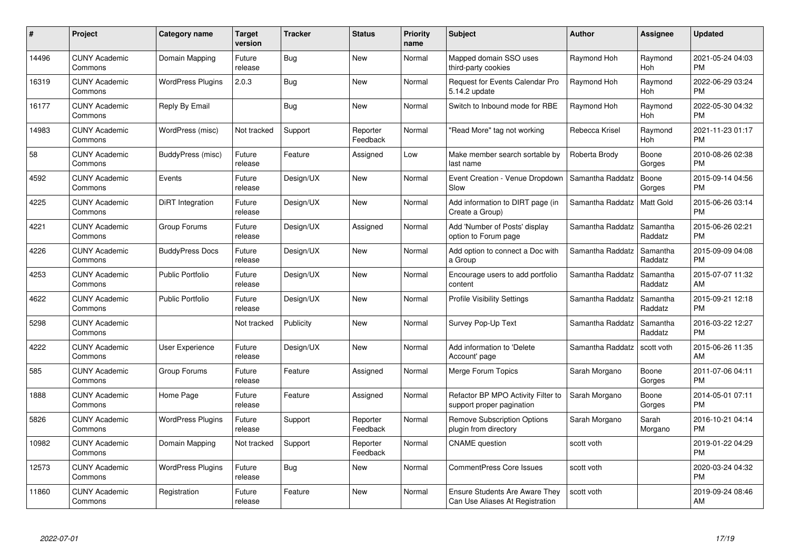| #     | Project                         | <b>Category name</b>     | <b>Target</b><br>version | <b>Tracker</b> | <b>Status</b>        | Priority<br>name | <b>Subject</b>                                                           | <b>Author</b>    | <b>Assignee</b>     | <b>Updated</b>                |
|-------|---------------------------------|--------------------------|--------------------------|----------------|----------------------|------------------|--------------------------------------------------------------------------|------------------|---------------------|-------------------------------|
| 14496 | <b>CUNY Academic</b><br>Commons | Domain Mapping           | Future<br>release        | Bug            | <b>New</b>           | Normal           | Mapped domain SSO uses<br>third-party cookies                            | Raymond Hoh      | Raymond<br>Hoh      | 2021-05-24 04:03<br><b>PM</b> |
| 16319 | <b>CUNY Academic</b><br>Commons | <b>WordPress Plugins</b> | 2.0.3                    | <b>Bug</b>     | <b>New</b>           | Normal           | Request for Events Calendar Pro<br>5.14.2 update                         | Raymond Hoh      | Raymond<br>Hoh      | 2022-06-29 03:24<br><b>PM</b> |
| 16177 | <b>CUNY Academic</b><br>Commons | Reply By Email           |                          | <b>Bug</b>     | <b>New</b>           | Normal           | Switch to Inbound mode for RBE                                           | Raymond Hoh      | Raymond<br>Hoh      | 2022-05-30 04:32<br><b>PM</b> |
| 14983 | <b>CUNY Academic</b><br>Commons | WordPress (misc)         | Not tracked              | Support        | Reporter<br>Feedback | Normal           | "Read More" tag not working                                              | Rebecca Krisel   | Raymond<br>Hoh      | 2021-11-23 01:17<br><b>PM</b> |
| 58    | <b>CUNY Academic</b><br>Commons | BuddyPress (misc)        | Future<br>release        | Feature        | Assigned             | Low              | Make member search sortable by<br>last name                              | Roberta Brody    | Boone<br>Gorges     | 2010-08-26 02:38<br><b>PM</b> |
| 4592  | <b>CUNY Academic</b><br>Commons | Events                   | Future<br>release        | Design/UX      | <b>New</b>           | Normal           | Event Creation - Venue Dropdown<br>Slow                                  | Samantha Raddatz | Boone<br>Gorges     | 2015-09-14 04:56<br><b>PM</b> |
| 4225  | <b>CUNY Academic</b><br>Commons | DiRT Integration         | Future<br>release        | Design/UX      | New                  | Normal           | Add information to DIRT page (in<br>Create a Group)                      | Samantha Raddatz | Matt Gold           | 2015-06-26 03:14<br><b>PM</b> |
| 4221  | <b>CUNY Academic</b><br>Commons | Group Forums             | Future<br>release        | Design/UX      | Assigned             | Normal           | Add 'Number of Posts' display<br>option to Forum page                    | Samantha Raddatz | Samantha<br>Raddatz | 2015-06-26 02:21<br><b>PM</b> |
| 4226  | <b>CUNY Academic</b><br>Commons | <b>BuddyPress Docs</b>   | Future<br>release        | Design/UX      | New                  | Normal           | Add option to connect a Doc with<br>a Group                              | Samantha Raddatz | Samantha<br>Raddatz | 2015-09-09 04:08<br><b>PM</b> |
| 4253  | <b>CUNY Academic</b><br>Commons | <b>Public Portfolio</b>  | Future<br>release        | Design/UX      | New                  | Normal           | Encourage users to add portfolio<br>content                              | Samantha Raddatz | Samantha<br>Raddatz | 2015-07-07 11:32<br>AM        |
| 4622  | <b>CUNY Academic</b><br>Commons | <b>Public Portfolio</b>  | Future<br>release        | Design/UX      | New                  | Normal           | <b>Profile Visibility Settings</b>                                       | Samantha Raddatz | Samantha<br>Raddatz | 2015-09-21 12:18<br><b>PM</b> |
| 5298  | <b>CUNY Academic</b><br>Commons |                          | Not tracked              | Publicity      | New                  | Normal           | Survey Pop-Up Text                                                       | Samantha Raddatz | Samantha<br>Raddatz | 2016-03-22 12:27<br><b>PM</b> |
| 4222  | <b>CUNY Academic</b><br>Commons | <b>User Experience</b>   | Future<br>release        | Design/UX      | New                  | Normal           | Add information to 'Delete<br>Account' page                              | Samantha Raddatz | scott voth          | 2015-06-26 11:35<br>AM        |
| 585   | <b>CUNY Academic</b><br>Commons | Group Forums             | Future<br>release        | Feature        | Assigned             | Normal           | Merge Forum Topics                                                       | Sarah Morgano    | Boone<br>Gorges     | 2011-07-06 04:11<br><b>PM</b> |
| 1888  | <b>CUNY Academic</b><br>Commons | Home Page                | Future<br>release        | Feature        | Assigned             | Normal           | Refactor BP MPO Activity Filter to<br>support proper pagination          | Sarah Morgano    | Boone<br>Gorges     | 2014-05-01 07:11<br><b>PM</b> |
| 5826  | <b>CUNY Academic</b><br>Commons | <b>WordPress Plugins</b> | Future<br>release        | Support        | Reporter<br>Feedback | Normal           | <b>Remove Subscription Options</b><br>plugin from directory              | Sarah Morgano    | Sarah<br>Morgano    | 2016-10-21 04:14<br><b>PM</b> |
| 10982 | <b>CUNY Academic</b><br>Commons | Domain Mapping           | Not tracked              | Support        | Reporter<br>Feedback | Normal           | <b>CNAME</b> question                                                    | scott voth       |                     | 2019-01-22 04:29<br><b>PM</b> |
| 12573 | <b>CUNY Academic</b><br>Commons | <b>WordPress Plugins</b> | Future<br>release        | Bug            | New                  | Normal           | CommentPress Core Issues                                                 | scott voth       |                     | 2020-03-24 04:32<br><b>PM</b> |
| 11860 | <b>CUNY Academic</b><br>Commons | Registration             | Future<br>release        | Feature        | <b>New</b>           | Normal           | <b>Ensure Students Are Aware They</b><br>Can Use Aliases At Registration | scott voth       |                     | 2019-09-24 08:46<br>AM        |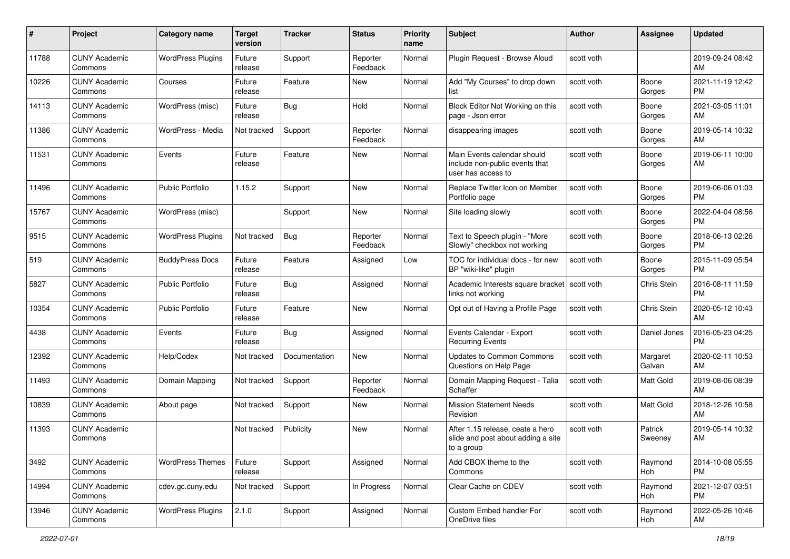| #     | Project                         | <b>Category name</b>     | <b>Target</b><br>version | <b>Tracker</b> | <b>Status</b>        | <b>Priority</b><br>name | <b>Subject</b>                                                                       | <b>Author</b> | <b>Assignee</b>    | <b>Updated</b>                |
|-------|---------------------------------|--------------------------|--------------------------|----------------|----------------------|-------------------------|--------------------------------------------------------------------------------------|---------------|--------------------|-------------------------------|
| 11788 | <b>CUNY Academic</b><br>Commons | <b>WordPress Plugins</b> | Future<br>release        | Support        | Reporter<br>Feedback | Normal                  | Plugin Request - Browse Aloud                                                        | scott voth    |                    | 2019-09-24 08:42<br>AM        |
| 10226 | <b>CUNY Academic</b><br>Commons | Courses                  | Future<br>release        | Feature        | New                  | Normal                  | Add "My Courses" to drop down<br>list                                                | scott voth    | Boone<br>Gorges    | 2021-11-19 12:42<br><b>PM</b> |
| 14113 | <b>CUNY Academic</b><br>Commons | WordPress (misc)         | Future<br>release        | Bug            | Hold                 | Normal                  | Block Editor Not Working on this<br>page - Json error                                | scott voth    | Boone<br>Gorges    | 2021-03-05 11:01<br>AM        |
| 11386 | <b>CUNY Academic</b><br>Commons | WordPress - Media        | Not tracked              | Support        | Reporter<br>Feedback | Normal                  | disappearing images                                                                  | scott voth    | Boone<br>Gorges    | 2019-05-14 10:32<br>AM        |
| 11531 | <b>CUNY Academic</b><br>Commons | Events                   | Future<br>release        | Feature        | New                  | Normal                  | Main Events calendar should<br>include non-public events that<br>user has access to  | scott voth    | Boone<br>Gorges    | 2019-06-11 10:00<br>AM        |
| 11496 | <b>CUNY Academic</b><br>Commons | <b>Public Portfolio</b>  | 1.15.2                   | Support        | New                  | Normal                  | Replace Twitter Icon on Member<br>Portfolio page                                     | scott voth    | Boone<br>Gorges    | 2019-06-06 01:03<br><b>PM</b> |
| 15767 | <b>CUNY Academic</b><br>Commons | WordPress (misc)         |                          | Support        | New                  | Normal                  | Site loading slowly                                                                  | scott voth    | Boone<br>Gorges    | 2022-04-04 08:56<br><b>PM</b> |
| 9515  | <b>CUNY Academic</b><br>Commons | <b>WordPress Plugins</b> | Not tracked              | <b>Bug</b>     | Reporter<br>Feedback | Normal                  | Text to Speech plugin - "More<br>Slowly" checkbox not working                        | scott voth    | Boone<br>Gorges    | 2018-06-13 02:26<br><b>PM</b> |
| 519   | <b>CUNY Academic</b><br>Commons | <b>BuddyPress Docs</b>   | Future<br>release        | Feature        | Assigned             | Low                     | TOC for individual docs - for new<br>BP "wiki-like" plugin                           | scott voth    | Boone<br>Gorges    | 2015-11-09 05:54<br><b>PM</b> |
| 5827  | <b>CUNY Academic</b><br>Commons | <b>Public Portfolio</b>  | Future<br>release        | Bug            | Assigned             | Normal                  | Academic Interests square bracket   scott voth<br>links not working                  |               | <b>Chris Stein</b> | 2016-08-11 11:59<br><b>PM</b> |
| 10354 | <b>CUNY Academic</b><br>Commons | <b>Public Portfolio</b>  | Future<br>release        | Feature        | New                  | Normal                  | Opt out of Having a Profile Page                                                     | scott voth    | Chris Stein        | 2020-05-12 10:43<br>AM        |
| 4438  | <b>CUNY Academic</b><br>Commons | Events                   | Future<br>release        | Bug            | Assigned             | Normal                  | Events Calendar - Export<br><b>Recurring Events</b>                                  | scott voth    | Daniel Jones       | 2016-05-23 04:25<br><b>PM</b> |
| 12392 | <b>CUNY Academic</b><br>Commons | Help/Codex               | Not tracked              | Documentation  | New                  | Normal                  | Updates to Common Commons<br>Questions on Help Page                                  | scott voth    | Margaret<br>Galvan | 2020-02-11 10:53<br>AM        |
| 11493 | <b>CUNY Academic</b><br>Commons | Domain Mapping           | Not tracked              | Support        | Reporter<br>Feedback | Normal                  | Domain Mapping Request - Talia<br>Schaffer                                           | scott voth    | Matt Gold          | 2019-08-06 08:39<br>AM        |
| 10839 | <b>CUNY Academic</b><br>Commons | About page               | Not tracked              | Support        | New                  | Normal                  | <b>Mission Statement Needs</b><br>Revision                                           | scott voth    | <b>Matt Gold</b>   | 2018-12-26 10:58<br>AM        |
| 11393 | <b>CUNY Academic</b><br>Commons |                          | Not tracked              | Publicity      | New                  | Normal                  | After 1.15 release, ceate a hero<br>slide and post about adding a site<br>to a group | scott voth    | Patrick<br>Sweeney | 2019-05-14 10:32<br>AM        |
| 3492  | <b>CUNY Academic</b><br>Commons | <b>WordPress Themes</b>  | Future<br>release        | Support        | Assigned             | Normal                  | Add CBOX theme to the<br>Commons                                                     | scott voth    | Raymond<br>Hoh     | 2014-10-08 05:55<br><b>PM</b> |
| 14994 | <b>CUNY Academic</b><br>Commons | cdev.gc.cuny.edu         | Not tracked              | Support        | In Progress          | Normal                  | Clear Cache on CDEV                                                                  | scott voth    | Raymond<br>Hoh     | 2021-12-07 03:51<br><b>PM</b> |
| 13946 | <b>CUNY Academic</b><br>Commons | <b>WordPress Plugins</b> | 2.1.0                    | Support        | Assigned             | Normal                  | Custom Embed handler For<br>OneDrive files                                           | scott voth    | Raymond<br>Hoh     | 2022-05-26 10:46<br>AM        |